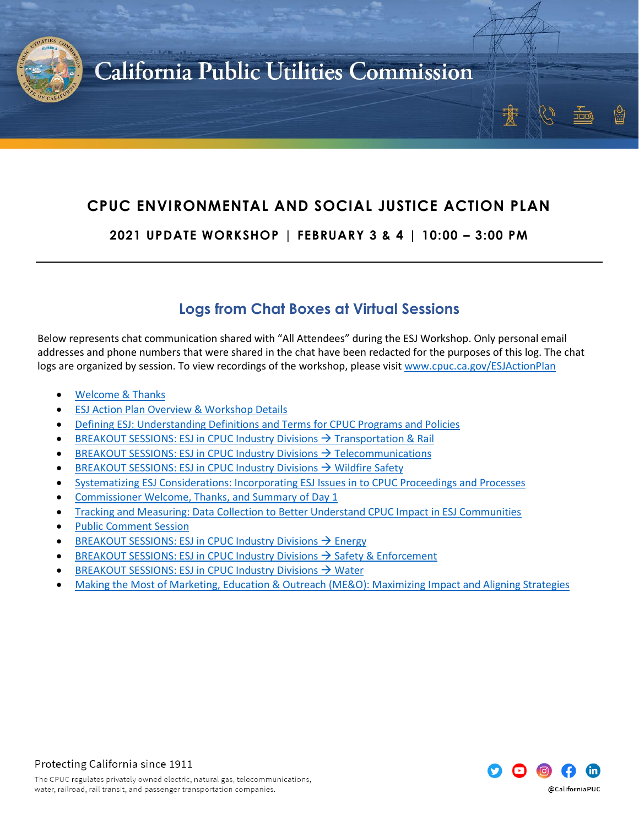

### **CPUC ENVIRONMENTAL AND SOCIAL JUSTICE ACTION PLAN**

**2021 UPDATE WORKSHOP | FEBRUARY 3 & 4 | 10:00 – 3:00 PM**

### **Logs from Chat Boxes at Virtual Sessions**

Below represents chat communication shared with "All Attendees" during the ESJ Workshop. Only personal email addresses and phone numbers that were shared in the chat have been redacted for the purposes of this log. The chat logs are organized by session. To view recordings of the workshop, please visi[t www.cpuc.ca.gov/ESJActionPlan](http://www.cpuc.ca.gov/ESJActionPlan)

- [Welcome & Thanks](#page-1-0)
- [ESJ Action Plan Overview & Workshop Details](#page-2-0)
- [Defining ESJ: Understanding Definitions and Terms for CPUC Programs and Policies](#page-3-0)
- **[BREAKOUT SESSIONS: ESJ in CPUC Industry Divisions](#page-7-0)**  $\rightarrow$  **Transportation & Rail**
- [BREAKOUT SESSIONS: ESJ in CPUC Industry Divisions](#page-11-0) → Telecommunications
- [BREAKOUT SESSIONS: ESJ in CPUC Industry Divisions](#page-14-0) → Wildfire Safety
- [Systematizing ESJ Considerations: Incorporating ESJ Issues in to CPUC Proceedings and Processes](#page-17-0)
- Commissioner [Welcome, Thanks, and Summary of Day 1](#page-23-0)
- [Tracking and Measuring: Data Collection to Better Understand CPUC Impact in ESJ Communities](#page-24-0)
- [Public Comment Session](#page-28-0)
- [BREAKOUT SESSIONS: ESJ in CPUC Industry Divisions](#page-31-0)  $\rightarrow$  Energy
- [BREAKOUT SESSIONS: ESJ in CPUC Industry Divisions](#page-42-0)  $\rightarrow$  Safety & Enforcement
- [BREAKOUT SESSIONS: ESJ in CPUC Industry Divisions](#page-44-0) → Water
- [Making the Most of Marketing, Education & Outreach \(ME&O\): Maximizing Impact and Aligning Strategies](#page-45-0)

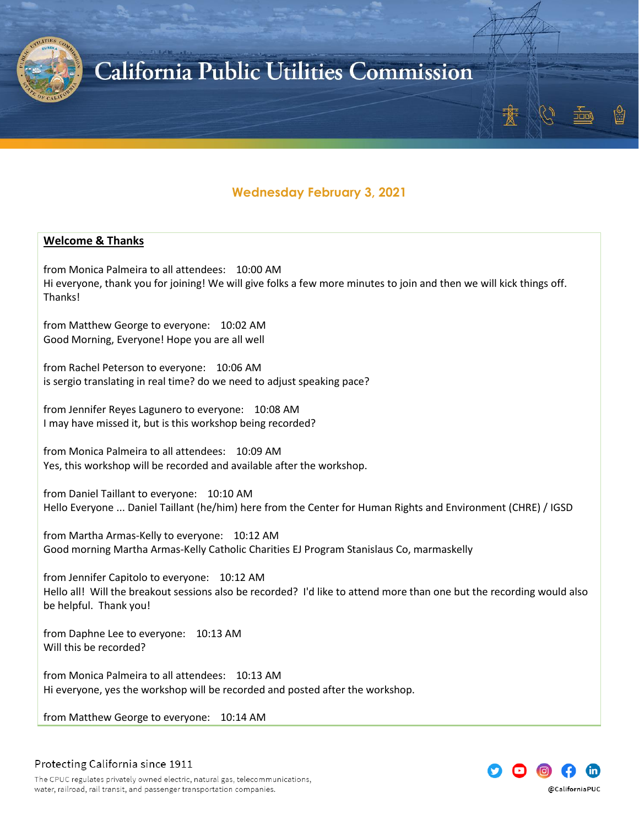

### **Wednesday February 3, 2021**

#### <span id="page-1-0"></span>**Welcome & Thanks**

from Monica Palmeira to all attendees: 10:00 AM Hi everyone, thank you for joining! We will give folks a few more minutes to join and then we will kick things off. Thanks!

from Matthew George to everyone: 10:02 AM Good Morning, Everyone! Hope you are all well

from Rachel Peterson to everyone: 10:06 AM is sergio translating in real time? do we need to adjust speaking pace?

from Jennifer Reyes Lagunero to everyone: 10:08 AM I may have missed it, but is this workshop being recorded?

from Monica Palmeira to all attendees: 10:09 AM Yes, this workshop will be recorded and available after the workshop.

from Daniel Taillant to everyone: 10:10 AM Hello Everyone ... Daniel Taillant (he/him) here from the Center for Human Rights and Environment (CHRE) / IGSD

from Martha Armas-Kelly to everyone: 10:12 AM Good morning Martha Armas-Kelly Catholic Charities EJ Program Stanislaus Co, marmaskelly

from Jennifer Capitolo to everyone: 10:12 AM Hello all! Will the breakout sessions also be recorded? I'd like to attend more than one but the recording would also be helpful. Thank you!

from Daphne Lee to everyone: 10:13 AM Will this be recorded?

from Monica Palmeira to all attendees: 10:13 AM Hi everyone, yes the workshop will be recorded and posted after the workshop.

from Matthew George to everyone: 10:14 AM



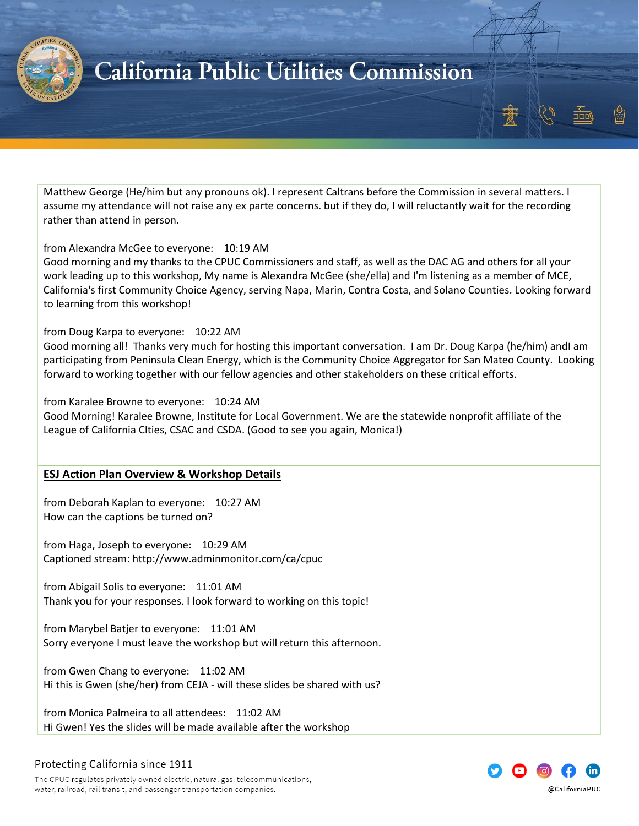

Matthew George (He/him but any pronouns ok). I represent Caltrans before the Commission in several matters. I assume my attendance will not raise any ex parte concerns. but if they do, I will reluctantly wait for the recording rather than attend in person.

#### from Alexandra McGee to everyone: 10:19 AM

Good morning and my thanks to the CPUC Commissioners and staff, as well as the DAC AG and others for all your work leading up to this workshop, My name is Alexandra McGee (she/ella) and I'm listening as a member of MCE, California's first Community Choice Agency, serving Napa, Marin, Contra Costa, and Solano Counties. Looking forward to learning from this workshop!

#### from Doug Karpa to everyone: 10:22 AM

Good morning all! Thanks very much for hosting this important conversation. I am Dr. Doug Karpa (he/him) andI am participating from Peninsula Clean Energy, which is the Community Choice Aggregator for San Mateo County. Looking forward to working together with our fellow agencies and other stakeholders on these critical efforts.

from Karalee Browne to everyone: 10:24 AM

Good Morning! Karalee Browne, Institute for Local Government. We are the statewide nonprofit affiliate of the League of California CIties, CSAC and CSDA. (Good to see you again, Monica!)

#### <span id="page-2-0"></span>**ESJ Action Plan Overview & Workshop Details**

from Deborah Kaplan to everyone: 10:27 AM How can the captions be turned on?

from Haga, Joseph to everyone: 10:29 AM Captioned stream: http://www.adminmonitor.com/ca/cpuc

from Abigail Solis to everyone: 11:01 AM Thank you for your responses. I look forward to working on this topic!

from Marybel Batjer to everyone: 11:01 AM Sorry everyone I must leave the workshop but will return this afternoon.

from Gwen Chang to everyone: 11:02 AM Hi this is Gwen (she/her) from CEJA - will these slides be shared with us?

from Monica Palmeira to all attendees: 11:02 AM Hi Gwen! Yes the slides will be made available after the workshop



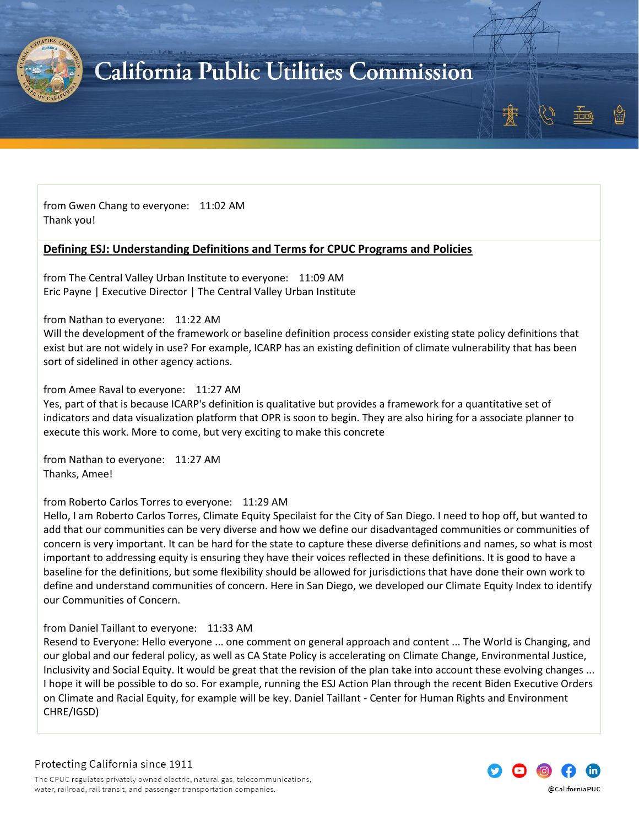

from Gwen Chang to everyone: 11:02 AM Thank you!

### <span id="page-3-0"></span>**Defining ESJ: Understanding Definitions and Terms for CPUC Programs and Policies**

from The Central Valley Urban Institute to everyone: 11:09 AM Eric Payne | Executive Director | The Central Valley Urban Institute

from Nathan to everyone: 11:22 AM

Will the development of the framework or baseline definition process consider existing state policy definitions that exist but are not widely in use? For example, ICARP has an existing definition of climate vulnerability that has been sort of sidelined in other agency actions.

### from Amee Raval to everyone: 11:27 AM

Yes, part of that is because ICARP's definition is qualitative but provides a framework for a quantitative set of indicators and data visualization platform that OPR is soon to begin. They are also hiring for a associate planner to execute this work. More to come, but very exciting to make this concrete

from Nathan to everyone: 11:27 AM Thanks, Amee!

from Roberto Carlos Torres to everyone: 11:29 AM

Hello, I am Roberto Carlos Torres, Climate Equity Specilaist for the City of San Diego. I need to hop off, but wanted to add that our communities can be very diverse and how we define our disadvantaged communities or communities of concern is very important. It can be hard for the state to capture these diverse definitions and names, so what is most important to addressing equity is ensuring they have their voices reflected in these definitions. It is good to have a baseline for the definitions, but some flexibility should be allowed for jurisdictions that have done their own work to define and understand communities of concern. Here in San Diego, we developed our Climate Equity Index to identify our Communities of Concern.

from Daniel Taillant to everyone: 11:33 AM

Resend to Everyone: Hello everyone ... one comment on general approach and content ... The World is Changing, and our global and our federal policy, as well as CA State Policy is accelerating on Climate Change, Environmental Justice, Inclusivity and Social Equity. It would be great that the revision of the plan take into account these evolving changes ... I hope it will be possible to do so. For example, running the ESJ Action Plan through the recent Biden Executive Orders on Climate and Racial Equity, for example will be key. Daniel Taillant - Center for Human Rights and Environment CHRE/IGSD)

Protecting California since 1911

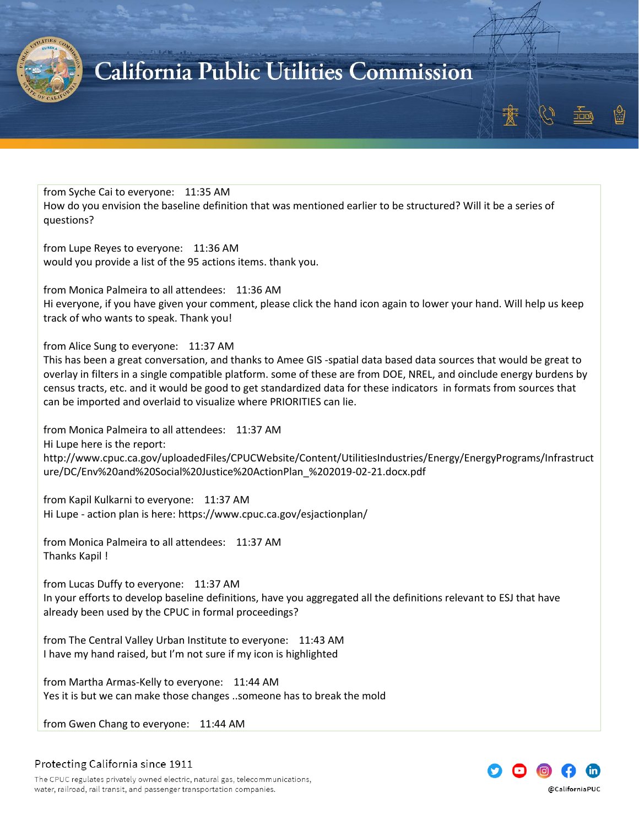

from Syche Cai to everyone: 11:35 AM How do you envision the baseline definition that was mentioned earlier to be structured? Will it be a series of questions?

from Lupe Reyes to everyone: 11:36 AM would you provide a list of the 95 actions items. thank you.

from Monica Palmeira to all attendees: 11:36 AM

Hi everyone, if you have given your comment, please click the hand icon again to lower your hand. Will help us keep track of who wants to speak. Thank you!

from Alice Sung to everyone: 11:37 AM

This has been a great conversation, and thanks to Amee GIS -spatial data based data sources that would be great to overlay in filters in a single compatible platform. some of these are from DOE, NREL, and oinclude energy burdens by census tracts, etc. and it would be good to get standardized data for these indicators in formats from sources that can be imported and overlaid to visualize where PRIORITIES can lie.

from Monica Palmeira to all attendees: 11:37 AM

Hi Lupe here is the report:

http://www.cpuc.ca.gov/uploadedFiles/CPUCWebsite/Content/UtilitiesIndustries/Energy/EnergyPrograms/Infrastruct ure/DC/Env%20and%20Social%20Justice%20ActionPlan\_%202019-02-21.docx.pdf

from Kapil Kulkarni to everyone: 11:37 AM Hi Lupe - action plan is here: https://www.cpuc.ca.gov/esjactionplan/

from Monica Palmeira to all attendees: 11:37 AM Thanks Kapil !

from Lucas Duffy to everyone: 11:37 AM In your efforts to develop baseline definitions, have you aggregated all the definitions relevant to ESJ that have already been used by the CPUC in formal proceedings?

from The Central Valley Urban Institute to everyone: 11:43 AM I have my hand raised, but I'm not sure if my icon is highlighted

from Martha Armas-Kelly to everyone: 11:44 AM Yes it is but we can make those changes ..someone has to break the mold

from Gwen Chang to everyone: 11:44 AM



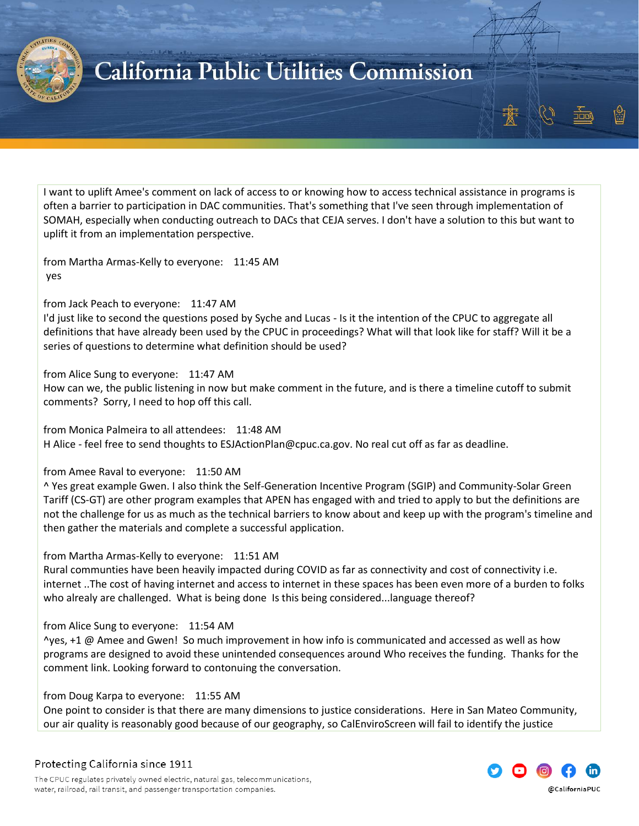

I want to uplift Amee's comment on lack of access to or knowing how to access technical assistance in programs is often a barrier to participation in DAC communities. That's something that I've seen through implementation of SOMAH, especially when conducting outreach to DACs that CEJA serves. I don't have a solution to this but want to uplift it from an implementation perspective.

from Martha Armas-Kelly to everyone: 11:45 AM yes

#### from Jack Peach to everyone: 11:47 AM

I'd just like to second the questions posed by Syche and Lucas - Is it the intention of the CPUC to aggregate all definitions that have already been used by the CPUC in proceedings? What will that look like for staff? Will it be a series of questions to determine what definition should be used?

#### from Alice Sung to everyone: 11:47 AM

How can we, the public listening in now but make comment in the future, and is there a timeline cutoff to submit comments? Sorry, I need to hop off this call.

from Monica Palmeira to all attendees: 11:48 AM H Alice - feel free to send thoughts to ESJActionPlan@cpuc.ca.gov. No real cut off as far as deadline.

#### from Amee Raval to everyone: 11:50 AM

^ Yes great example Gwen. I also think the Self-Generation Incentive Program (SGIP) and Community-Solar Green Tariff (CS-GT) are other program examples that APEN has engaged with and tried to apply to but the definitions are not the challenge for us as much as the technical barriers to know about and keep up with the program's timeline and then gather the materials and complete a successful application.

#### from Martha Armas-Kelly to everyone: 11:51 AM

Rural communties have been heavily impacted during COVID as far as connectivity and cost of connectivity i.e. internet ..The cost of having internet and access to internet in these spaces has been even more of a burden to folks who alrealy are challenged. What is being done Is this being considered...language thereof?

#### from Alice Sung to everyone: 11:54 AM

^yes, +1 @ Amee and Gwen! So much improvement in how info is communicated and accessed as well as how programs are designed to avoid these unintended consequences around Who receives the funding. Thanks for the comment link. Looking forward to contonuing the conversation.

#### from Doug Karpa to everyone: 11:55 AM

One point to consider is that there are many dimensions to justice considerations. Here in San Mateo Community, our air quality is reasonably good because of our geography, so CalEnviroScreen will fail to identify the justice

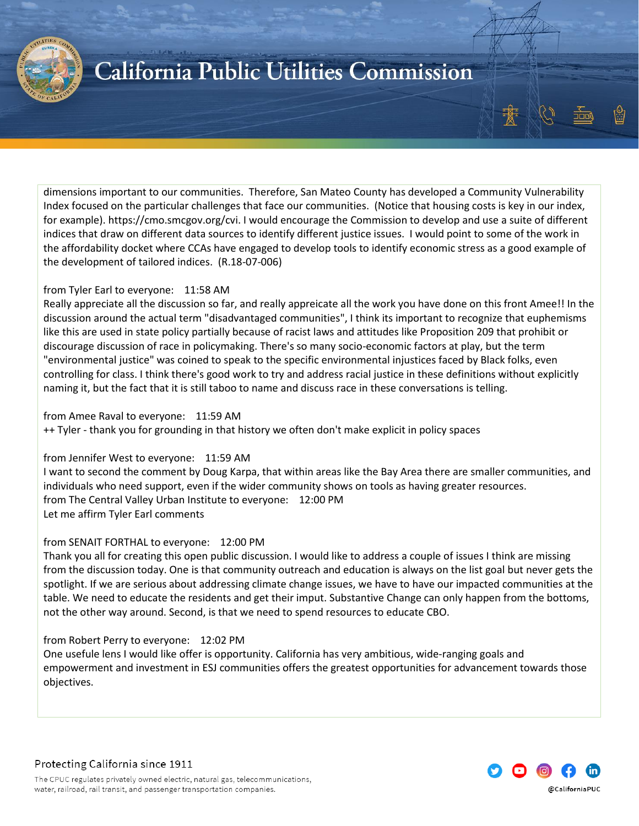

dimensions important to our communities. Therefore, San Mateo County has developed a Community Vulnerability Index focused on the particular challenges that face our communities. (Notice that housing costs is key in our index, for example). https://cmo.smcgov.org/cvi. I would encourage the Commission to develop and use a suite of different indices that draw on different data sources to identify different justice issues. I would point to some of the work in the affordability docket where CCAs have engaged to develop tools to identify economic stress as a good example of the development of tailored indices. (R.18-07-006)

#### from Tyler Earl to everyone: 11:58 AM

Really appreciate all the discussion so far, and really appreicate all the work you have done on this front Amee!! In the discussion around the actual term "disadvantaged communities", I think its important to recognize that euphemisms like this are used in state policy partially because of racist laws and attitudes like Proposition 209 that prohibit or discourage discussion of race in policymaking. There's so many socio-economic factors at play, but the term "environmental justice" was coined to speak to the specific environmental injustices faced by Black folks, even controlling for class. I think there's good work to try and address racial justice in these definitions without explicitly naming it, but the fact that it is still taboo to name and discuss race in these conversations is telling.

from Amee Raval to everyone: 11:59 AM ++ Tyler - thank you for grounding in that history we often don't make explicit in policy spaces

#### from Jennifer West to everyone: 11:59 AM

I want to second the comment by Doug Karpa, that within areas like the Bay Area there are smaller communities, and individuals who need support, even if the wider community shows on tools as having greater resources. from The Central Valley Urban Institute to everyone: 12:00 PM Let me affirm Tyler Earl comments

#### from SENAIT FORTHAL to everyone: 12:00 PM

Thank you all for creating this open public discussion. I would like to address a couple of issues I think are missing from the discussion today. One is that community outreach and education is always on the list goal but never gets the spotlight. If we are serious about addressing climate change issues, we have to have our impacted communities at the table. We need to educate the residents and get their imput. Substantive Change can only happen from the bottoms, not the other way around. Second, is that we need to spend resources to educate CBO.

#### from Robert Perry to everyone: 12:02 PM

One usefule lens I would like offer is opportunity. California has very ambitious, wide-ranging goals and empowerment and investment in ESJ communities offers the greatest opportunities for advancement towards those objectives.

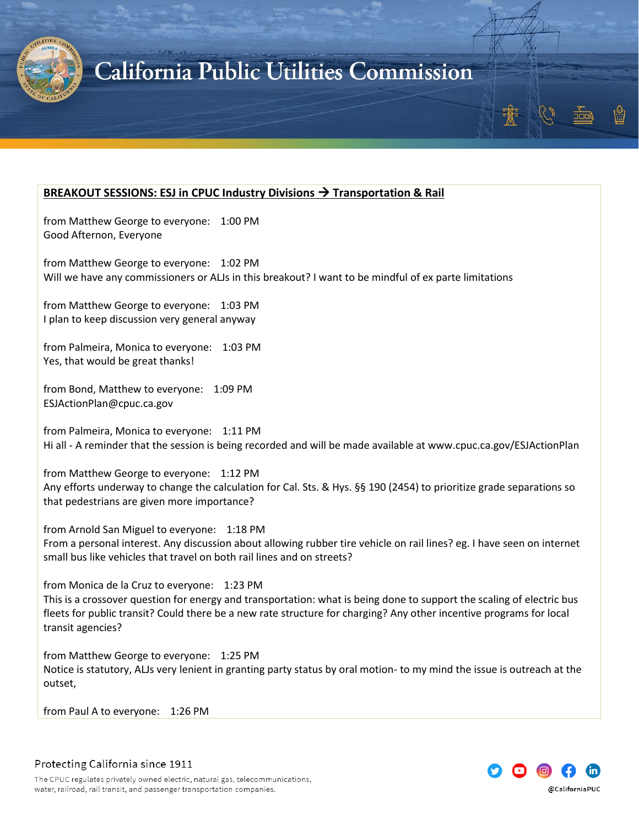

### <span id="page-7-0"></span>**BREAKOUT SESSIONS: ESJ in CPUC Industry Divisions** → **Transportation & Rail**

from Matthew George to everyone: 1:00 PM Good Afternon, Everyone

from Matthew George to everyone: 1:02 PM Will we have any commissioners or ALJs in this breakout? I want to be mindful of ex parte limitations

from Matthew George to everyone: 1:03 PM I plan to keep discussion very general anyway

from Palmeira, Monica to everyone: 1:03 PM Yes, that would be great thanks!

from Bond, Matthew to everyone: 1:09 PM ESJActionPlan@cpuc.ca.gov

from Palmeira, Monica to everyone: 1:11 PM Hi all - A reminder that the session is being recorded and will be made available at www.cpuc.ca.gov/ESJActionPlan

from Matthew George to everyone: 1:12 PM Any efforts underway to change the calculation for Cal. Sts. & Hys. §§ 190 (2454) to prioritize grade separations so that pedestrians are given more importance?

from Arnold San Miguel to everyone: 1:18 PM From a personal interest. Any discussion about allowing rubber tire vehicle on rail lines? eg. I have seen on internet small bus like vehicles that travel on both rail lines and on streets?

from Monica de la Cruz to everyone: 1:23 PM This is a crossover question for energy and transportation: what is being done to support the scaling of electric bus fleets for public transit? Could there be a new rate structure for charging? Any other incentive programs for local transit agencies?

from Matthew George to everyone: 1:25 PM Notice is statutory, ALJs very lenient in granting party status by oral motion- to my mind the issue is outreach at the outset,

from Paul A to everyone: 1:26 PM

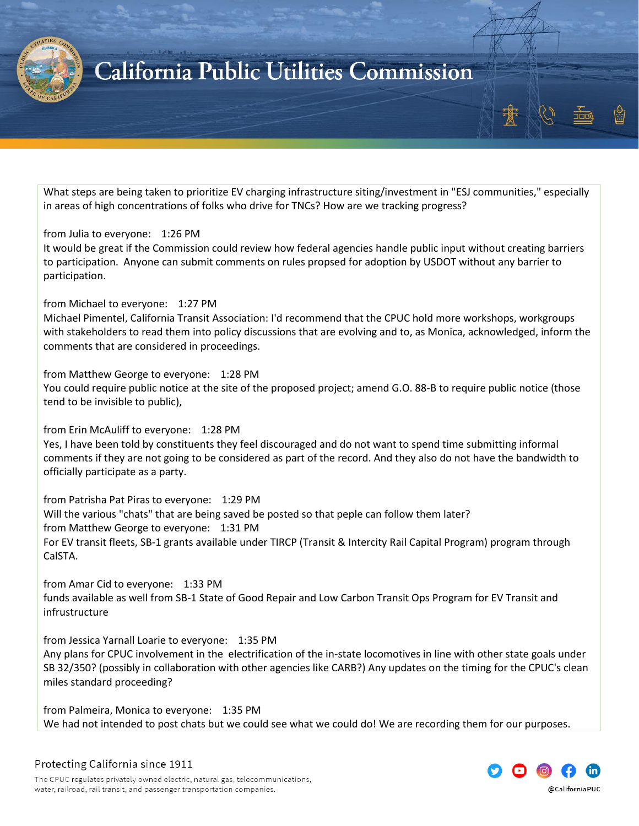

What steps are being taken to prioritize EV charging infrastructure siting/investment in "ESJ communities," especially in areas of high concentrations of folks who drive for TNCs? How are we tracking progress?

#### from Julia to everyone: 1:26 PM

It would be great if the Commission could review how federal agencies handle public input without creating barriers to participation. Anyone can submit comments on rules propsed for adoption by USDOT without any barrier to participation.

from Michael to everyone: 1:27 PM Michael Pimentel, California Transit Association: I'd recommend that the CPUC hold more workshops, workgroups with stakeholders to read them into policy discussions that are evolving and to, as Monica, acknowledged, inform the comments that are considered in proceedings.

from Matthew George to everyone: 1:28 PM You could require public notice at the site of the proposed project; amend G.O. 88-B to require public notice (those tend to be invisible to public),

from Erin McAuliff to everyone: 1:28 PM

Yes, I have been told by constituents they feel discouraged and do not want to spend time submitting informal comments if they are not going to be considered as part of the record. And they also do not have the bandwidth to officially participate as a party.

from Patrisha Pat Piras to everyone: 1:29 PM Will the various "chats" that are being saved be posted so that peple can follow them later? from Matthew George to everyone: 1:31 PM For EV transit fleets, SB-1 grants available under TIRCP (Transit & Intercity Rail Capital Program) program through CalSTA.

from Amar Cid to everyone: 1:33 PM funds available as well from SB-1 State of Good Repair and Low Carbon Transit Ops Program for EV Transit and infrustructure

from Jessica Yarnall Loarie to everyone: 1:35 PM Any plans for CPUC involvement in the electrification of the in-state locomotives in line with other state goals under SB 32/350? (possibly in collaboration with other agencies like CARB?) Any updates on the timing for the CPUC's clean miles standard proceeding?

from Palmeira, Monica to everyone: 1:35 PM We had not intended to post chats but we could see what we could do! We are recording them for our purposes.

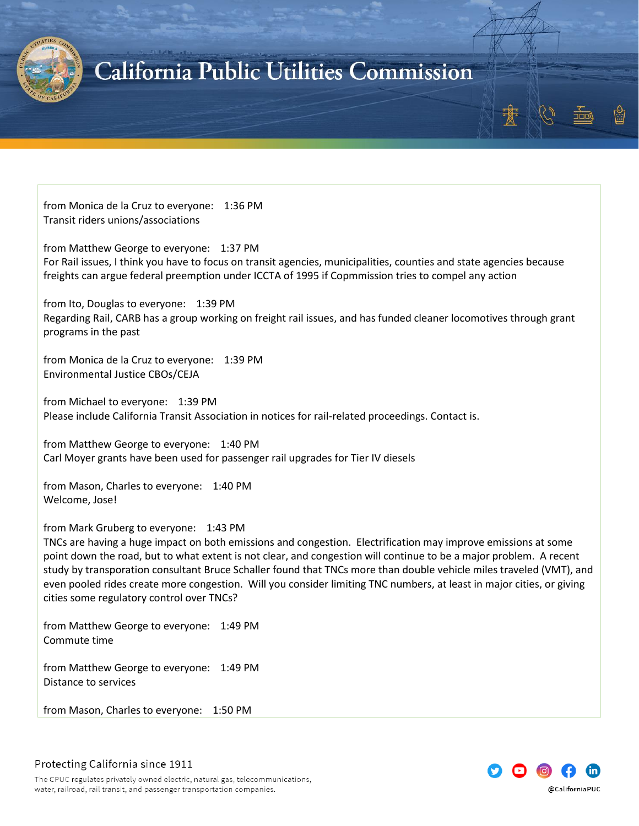

from Monica de la Cruz to everyone: 1:36 PM Transit riders unions/associations

from Matthew George to everyone: 1:37 PM For Rail issues, I think you have to focus on transit agencies, municipalities, counties and state agencies because freights can argue federal preemption under ICCTA of 1995 if Copmmission tries to compel any action

from Ito, Douglas to everyone: 1:39 PM Regarding Rail, CARB has a group working on freight rail issues, and has funded cleaner locomotives through grant programs in the past

from Monica de la Cruz to everyone: 1:39 PM Environmental Justice CBOs/CEJA

from Michael to everyone: 1:39 PM Please include California Transit Association in notices for rail-related proceedings. Contact is.

from Matthew George to everyone: 1:40 PM Carl Moyer grants have been used for passenger rail upgrades for Tier IV diesels

from Mason, Charles to everyone: 1:40 PM Welcome, Jose!

from Mark Gruberg to everyone: 1:43 PM

TNCs are having a huge impact on both emissions and congestion. Electrification may improve emissions at some point down the road, but to what extent is not clear, and congestion will continue to be a major problem. A recent study by transporation consultant Bruce Schaller found that TNCs more than double vehicle miles traveled (VMT), and even pooled rides create more congestion. Will you consider limiting TNC numbers, at least in major cities, or giving cities some regulatory control over TNCs?

from Matthew George to everyone: 1:49 PM Commute time

from Matthew George to everyone: 1:49 PM Distance to services

from Mason, Charles to everyone: 1:50 PM



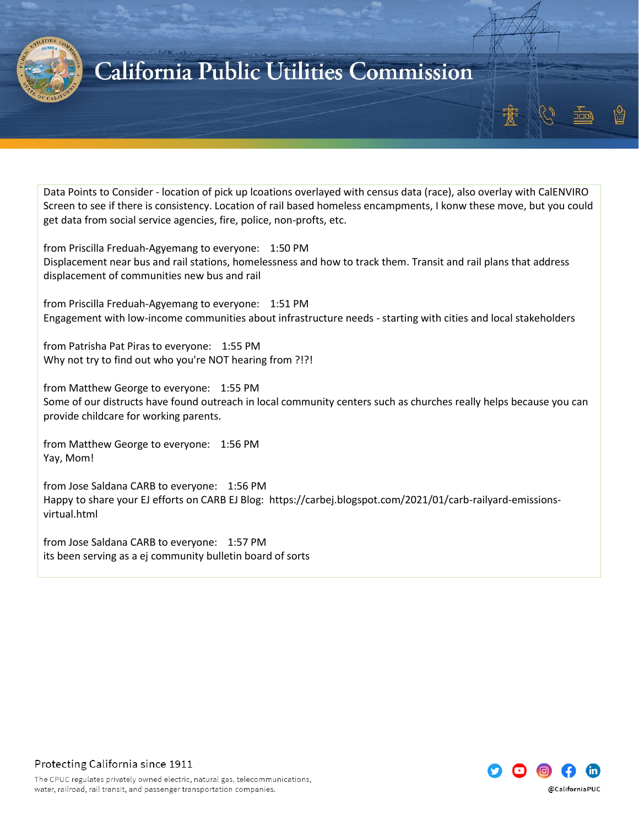

Data Points to Consider - location of pick up lcoations overlayed with census data (race), also overlay with CalENVIRO Screen to see if there is consistency. Location of rail based homeless encampments, I konw these move, but you could get data from social service agencies, fire, police, non-profts, etc.

from Priscilla Freduah-Agyemang to everyone: 1:50 PM Displacement near bus and rail stations, homelessness and how to track them. Transit and rail plans that address displacement of communities new bus and rail

from Priscilla Freduah-Agyemang to everyone: 1:51 PM Engagement with low-income communities about infrastructure needs - starting with cities and local stakeholders

from Patrisha Pat Piras to everyone: 1:55 PM Why not try to find out who you're NOT hearing from ?!?!

from Matthew George to everyone: 1:55 PM Some of our distructs have found outreach in local community centers such as churches really helps because you can provide childcare for working parents.

from Matthew George to everyone: 1:56 PM Yay, Mom!

from Jose Saldana CARB to everyone: 1:56 PM Happy to share your EJ efforts on CARB EJ Blog: https://carbej.blogspot.com/2021/01/carb-railyard-emissionsvirtual.html

from Jose Saldana CARB to everyone: 1:57 PM its been serving as a ej community bulletin board of sorts

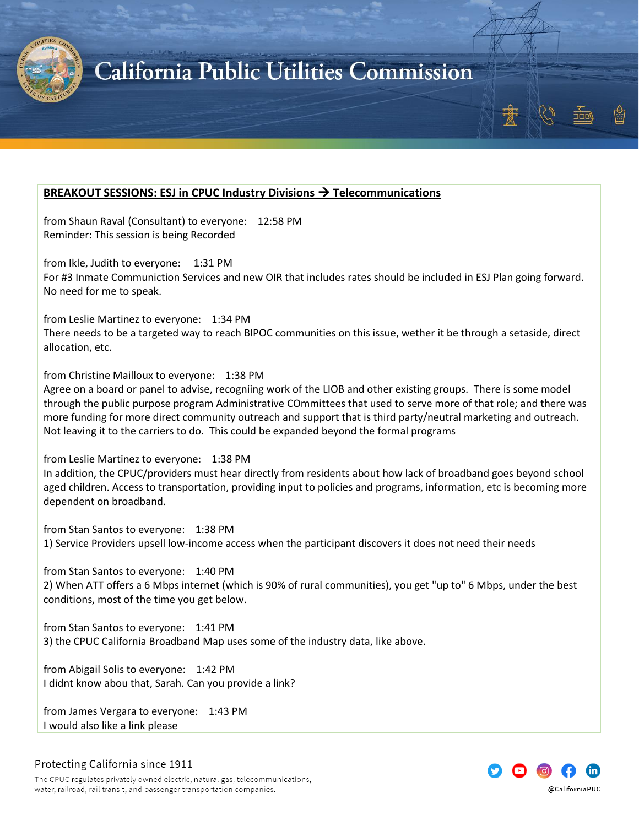

### <span id="page-11-0"></span>**BREAKOUT SESSIONS: ESJ in CPUC Industry Divisions** → **Telecommunications**

from Shaun Raval (Consultant) to everyone: 12:58 PM Reminder: This session is being Recorded

from Ikle, Judith to everyone: 1:31 PM For #3 Inmate Communiction Services and new OIR that includes rates should be included in ESJ Plan going forward. No need for me to speak.

from Leslie Martinez to everyone: 1:34 PM

There needs to be a targeted way to reach BIPOC communities on this issue, wether it be through a setaside, direct allocation, etc.

from Christine Mailloux to everyone: 1:38 PM

Agree on a board or panel to advise, recogniing work of the LIOB and other existing groups. There is some model through the public purpose program Administrative COmmittees that used to serve more of that role; and there was more funding for more direct community outreach and support that is third party/neutral marketing and outreach. Not leaving it to the carriers to do. This could be expanded beyond the formal programs

from Leslie Martinez to everyone: 1:38 PM

In addition, the CPUC/providers must hear directly from residents about how lack of broadband goes beyond school aged children. Access to transportation, providing input to policies and programs, information, etc is becoming more dependent on broadband.

from Stan Santos to everyone: 1:38 PM 1) Service Providers upsell low-income access when the participant discovers it does not need their needs

from Stan Santos to everyone: 1:40 PM 2) When ATT offers a 6 Mbps internet (which is 90% of rural communities), you get "up to" 6 Mbps, under the best conditions, most of the time you get below.

from Stan Santos to everyone: 1:41 PM 3) the CPUC California Broadband Map uses some of the industry data, like above.

from Abigail Solis to everyone: 1:42 PM I didnt know abou that, Sarah. Can you provide a link?

from James Vergara to everyone: 1:43 PM I would also like a link please



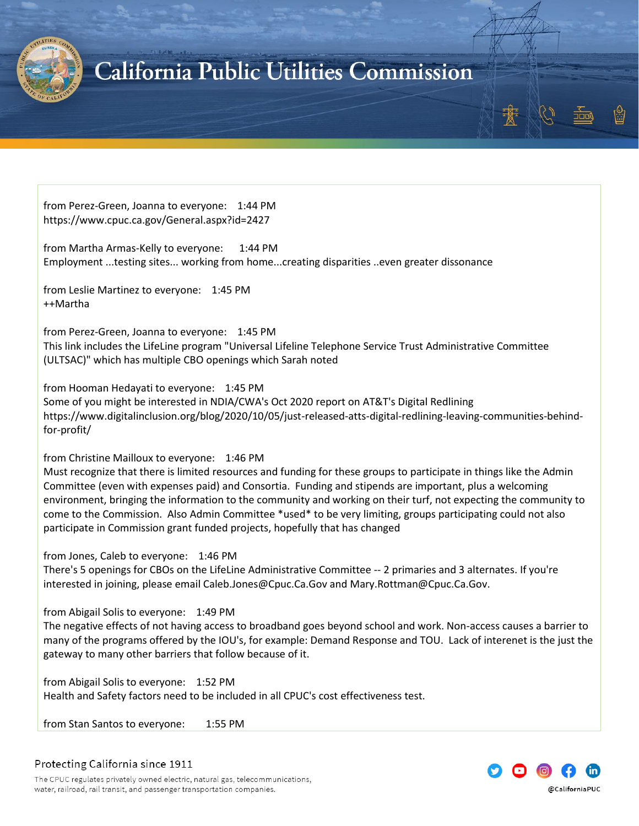

from Perez-Green, Joanna to everyone: 1:44 PM https://www.cpuc.ca.gov/General.aspx?id=2427

from Martha Armas-Kelly to everyone: 1:44 PM Employment ...testing sites... working from home...creating disparities ..even greater dissonance

from Leslie Martinez to everyone: 1:45 PM ++Martha

from Perez-Green, Joanna to everyone: 1:45 PM This link includes the LifeLine program "Universal Lifeline Telephone Service Trust Administrative Committee (ULTSAC)" which has multiple CBO openings which Sarah noted

from Hooman Hedayati to everyone: 1:45 PM Some of you might be interested in NDIA/CWA's Oct 2020 report on AT&T's Digital Redlining https://www.digitalinclusion.org/blog/2020/10/05/just-released-atts-digital-redlining-leaving-communities-behindfor-profit/

from Christine Mailloux to everyone: 1:46 PM

Must recognize that there is limited resources and funding for these groups to participate in things like the Admin Committee (even with expenses paid) and Consortia. Funding and stipends are important, plus a welcoming environment, bringing the information to the community and working on their turf, not expecting the community to come to the Commission. Also Admin Committee \*used\* to be very limiting, groups participating could not also participate in Commission grant funded projects, hopefully that has changed

from Jones, Caleb to everyone: 1:46 PM

There's 5 openings for CBOs on the LifeLine Administrative Committee -- 2 primaries and 3 alternates. If you're interested in joining, please email Caleb.Jones@Cpuc.Ca.Gov and Mary.Rottman@Cpuc.Ca.Gov.

from Abigail Solis to everyone: 1:49 PM

The negative effects of not having access to broadband goes beyond school and work. Non-access causes a barrier to many of the programs offered by the IOU's, for example: Demand Response and TOU. Lack of interenet is the just the gateway to many other barriers that follow because of it.

from Abigail Solis to everyone: 1:52 PM Health and Safety factors need to be included in all CPUC's cost effectiveness test.

from Stan Santos to everyone: 1:55 PM

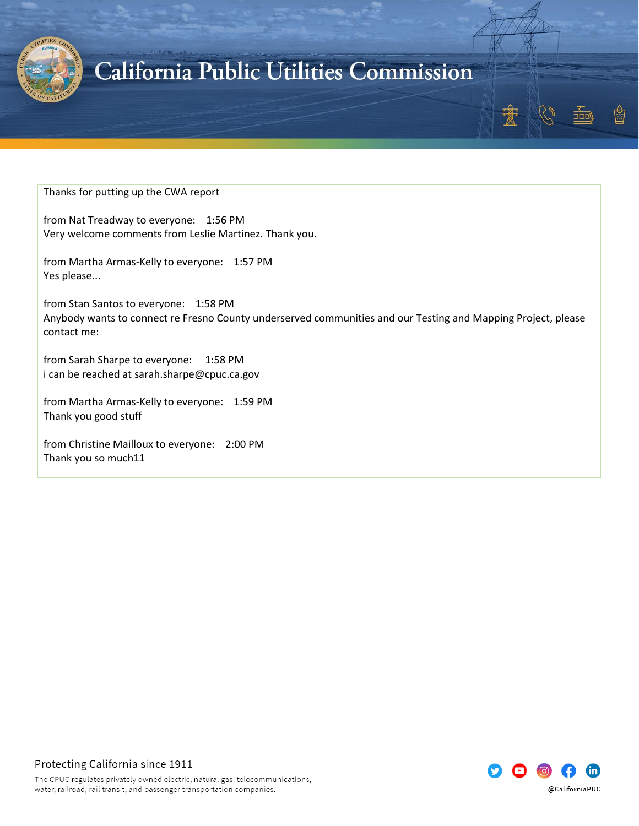

Thanks for putting up the CWA report

from Nat Treadway to everyone: 1:56 PM Very welcome comments from Leslie Martinez. Thank you.

from Martha Armas-Kelly to everyone: 1:57 PM Yes please...

from Stan Santos to everyone: 1:58 PM Anybody wants to connect re Fresno County underserved communities and our Testing and Mapping Project, please contact me:

from Sarah Sharpe to everyone: 1:58 PM i can be reached at sarah.sharpe@cpuc.ca.gov

from Martha Armas-Kelly to everyone: 1:59 PM Thank you good stuff

from Christine Mailloux to everyone: 2:00 PM Thank you so much11

> ini @CaliforniaPUC

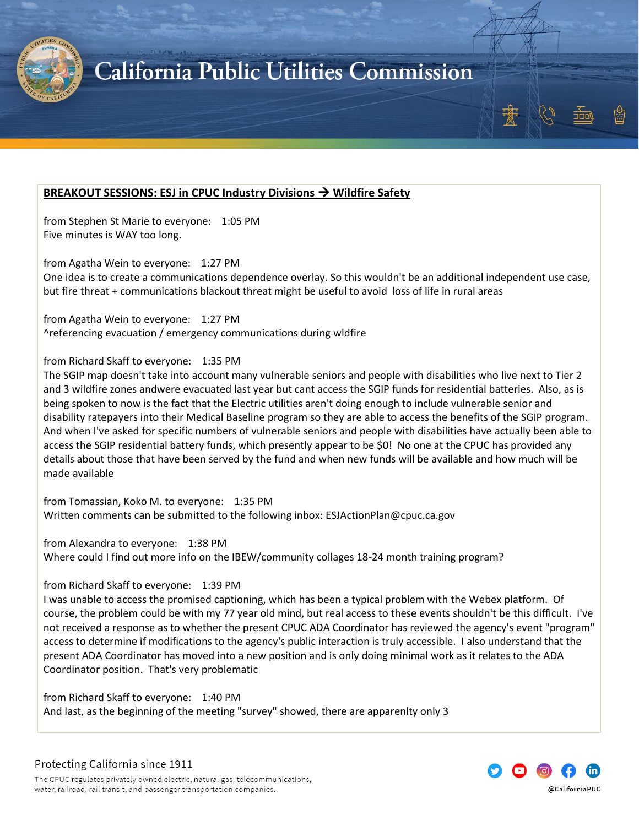

### <span id="page-14-0"></span>**BREAKOUT SESSIONS: ESJ in CPUC Industry Divisions** → **Wildfire Safety**

from Stephen St Marie to everyone: 1:05 PM Five minutes is WAY too long.

from Agatha Wein to everyone: 1:27 PM

One idea is to create a communications dependence overlay. So this wouldn't be an additional independent use case, but fire threat + communications blackout threat might be useful to avoid loss of life in rural areas

from Agatha Wein to everyone: 1:27 PM ^referencing evacuation / emergency communications during wldfire

#### from Richard Skaff to everyone: 1:35 PM

The SGIP map doesn't take into account many vulnerable seniors and people with disabilities who live next to Tier 2 and 3 wildfire zones andwere evacuated last year but cant access the SGIP funds for residential batteries. Also, as is being spoken to now is the fact that the Electric utilities aren't doing enough to include vulnerable senior and disability ratepayers into their Medical Baseline program so they are able to access the benefits of the SGIP program. And when I've asked for specific numbers of vulnerable seniors and people with disabilities have actually been able to access the SGIP residential battery funds, which presently appear to be \$0! No one at the CPUC has provided any details about those that have been served by the fund and when new funds will be available and how much will be made available

from Tomassian, Koko M. to everyone: 1:35 PM Written comments can be submitted to the following inbox: ESJActionPlan@cpuc.ca.gov

from Alexandra to everyone: 1:38 PM Where could I find out more info on the IBEW/community collages 18-24 month training program?

#### from Richard Skaff to everyone: 1:39 PM

I was unable to access the promised captioning, which has been a typical problem with the Webex platform. Of course, the problem could be with my 77 year old mind, but real access to these events shouldn't be this difficult. I've not received a response as to whether the present CPUC ADA Coordinator has reviewed the agency's event "program" access to determine if modifications to the agency's public interaction is truly accessible. I also understand that the present ADA Coordinator has moved into a new position and is only doing minimal work as it relates to the ADA Coordinator position. That's very problematic

from Richard Skaff to everyone: 1:40 PM And last, as the beginning of the meeting "survey" showed, there are apparenlty only 3

@CaliforniaPUC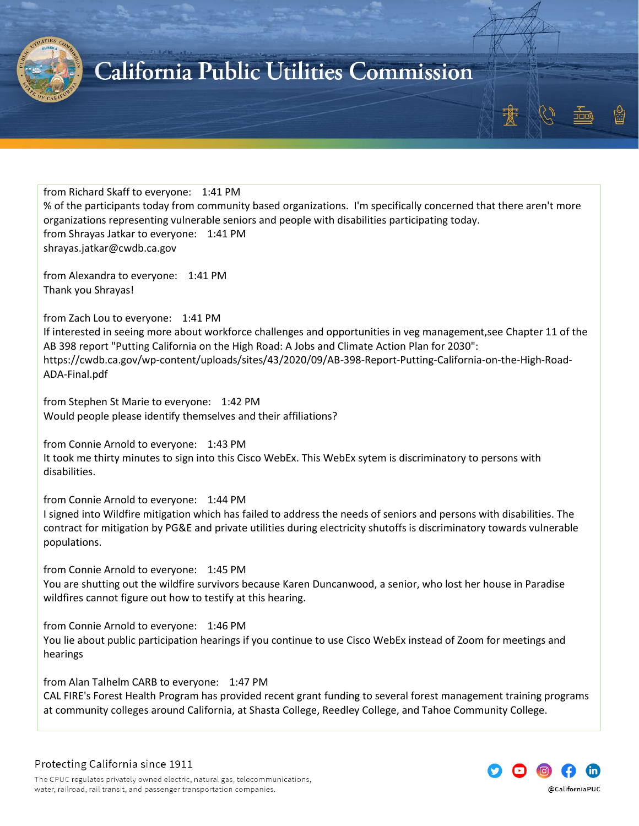

from Richard Skaff to everyone: 1:41 PM % of the participants today from community based organizations. I'm specifically concerned that there aren't more organizations representing vulnerable seniors and people with disabilities participating today. from Shrayas Jatkar to everyone: 1:41 PM shrayas.jatkar@cwdb.ca.gov

from Alexandra to everyone: 1:41 PM Thank you Shrayas!

from Zach Lou to everyone: 1:41 PM If interested in seeing more about workforce challenges and opportunities in veg management,see Chapter 11 of the AB 398 report "Putting California on the High Road: A Jobs and Climate Action Plan for 2030": https://cwdb.ca.gov/wp-content/uploads/sites/43/2020/09/AB-398-Report-Putting-California-on-the-High-Road-ADA-Final.pdf

from Stephen St Marie to everyone: 1:42 PM Would people please identify themselves and their affiliations?

from Connie Arnold to everyone: 1:43 PM It took me thirty minutes to sign into this Cisco WebEx. This WebEx sytem is discriminatory to persons with disabilities.

from Connie Arnold to everyone: 1:44 PM

I signed into Wildfire mitigation which has failed to address the needs of seniors and persons with disabilities. The contract for mitigation by PG&E and private utilities during electricity shutoffs is discriminatory towards vulnerable populations.

from Connie Arnold to everyone: 1:45 PM You are shutting out the wildfire survivors because Karen Duncanwood, a senior, who lost her house in Paradise wildfires cannot figure out how to testify at this hearing.

from Connie Arnold to everyone: 1:46 PM You lie about public participation hearings if you continue to use Cisco WebEx instead of Zoom for meetings and hearings

from Alan Talhelm CARB to everyone: 1:47 PM

CAL FIRE's Forest Health Program has provided recent grant funding to several forest management training programs at community colleges around California, at Shasta College, Reedley College, and Tahoe Community College.

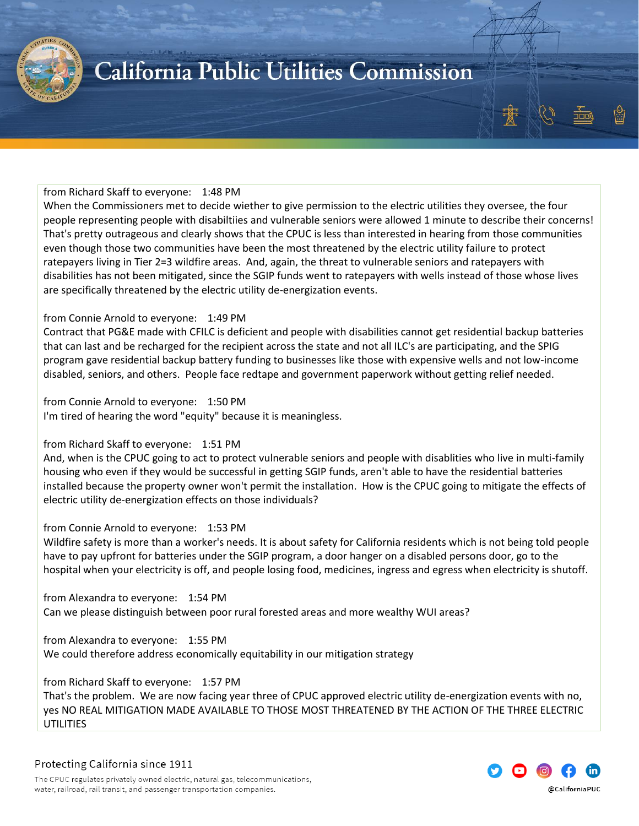

#### from Richard Skaff to everyone: 1:48 PM

When the Commissioners met to decide wiether to give permission to the electric utilities they oversee, the four people representing people with disabiltiies and vulnerable seniors were allowed 1 minute to describe their concerns! That's pretty outrageous and clearly shows that the CPUC is less than interested in hearing from those communities even though those two communities have been the most threatened by the electric utility failure to protect ratepayers living in Tier 2=3 wildfire areas. And, again, the threat to vulnerable seniors and ratepayers with disabilities has not been mitigated, since the SGIP funds went to ratepayers with wells instead of those whose lives are specifically threatened by the electric utility de-energization events.

#### from Connie Arnold to everyone: 1:49 PM

Contract that PG&E made with CFILC is deficient and people with disabilities cannot get residential backup batteries that can last and be recharged for the recipient across the state and not all ILC's are participating, and the SPIG program gave residential backup battery funding to businesses like those with expensive wells and not low-income disabled, seniors, and others. People face redtape and government paperwork without getting relief needed.

from Connie Arnold to everyone: 1:50 PM I'm tired of hearing the word "equity" because it is meaningless.

#### from Richard Skaff to everyone: 1:51 PM

And, when is the CPUC going to act to protect vulnerable seniors and people with disablities who live in multi-family housing who even if they would be successful in getting SGIP funds, aren't able to have the residential batteries installed because the property owner won't permit the installation. How is the CPUC going to mitigate the effects of electric utility de-energization effects on those individuals?

#### from Connie Arnold to everyone: 1:53 PM

Wildfire safety is more than a worker's needs. It is about safety for California residents which is not being told people have to pay upfront for batteries under the SGIP program, a door hanger on a disabled persons door, go to the hospital when your electricity is off, and people losing food, medicines, ingress and egress when electricity is shutoff.

from Alexandra to everyone: 1:54 PM Can we please distinguish between poor rural forested areas and more wealthy WUI areas?

from Alexandra to everyone: 1:55 PM We could therefore address economically equitability in our mitigation strategy

from Richard Skaff to everyone: 1:57 PM

That's the problem. We are now facing year three of CPUC approved electric utility de-energization events with no, yes NO REAL MITIGATION MADE AVAILABLE TO THOSE MOST THREATENED BY THE ACTION OF THE THREE ELECTRIC UTILITIES

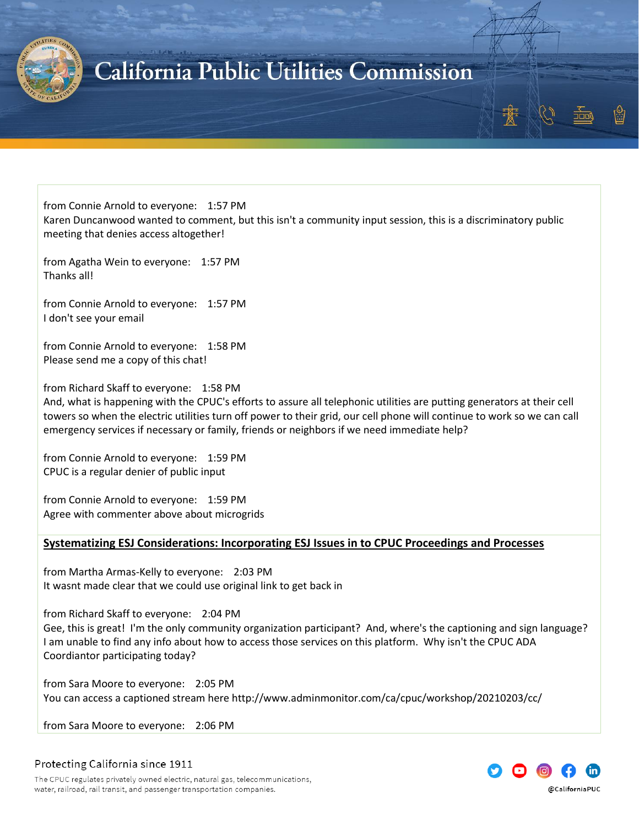

from Connie Arnold to everyone: 1:57 PM Karen Duncanwood wanted to comment, but this isn't a community input session, this is a discriminatory public meeting that denies access altogether!

from Agatha Wein to everyone: 1:57 PM Thanks all!

from Connie Arnold to everyone: 1:57 PM I don't see your email

from Connie Arnold to everyone: 1:58 PM Please send me a copy of this chat!

from Richard Skaff to everyone: 1:58 PM

And, what is happening with the CPUC's efforts to assure all telephonic utilities are putting generators at their cell towers so when the electric utilities turn off power to their grid, our cell phone will continue to work so we can call emergency services if necessary or family, friends or neighbors if we need immediate help?

from Connie Arnold to everyone: 1:59 PM CPUC is a regular denier of public input

from Connie Arnold to everyone: 1:59 PM Agree with commenter above about microgrids

#### <span id="page-17-0"></span>**Systematizing ESJ Considerations: Incorporating ESJ Issues in to CPUC Proceedings and Processes**

from Martha Armas-Kelly to everyone: 2:03 PM It wasnt made clear that we could use original link to get back in

from Richard Skaff to everyone: 2:04 PM Gee, this is great! I'm the only community organization participant? And, where's the captioning and sign language? I am unable to find any info about how to access those services on this platform. Why isn't the CPUC ADA Coordiantor participating today?

from Sara Moore to everyone: 2:05 PM You can access a captioned stream here http://www.adminmonitor.com/ca/cpuc/workshop/20210203/cc/

from Sara Moore to everyone: 2:06 PM



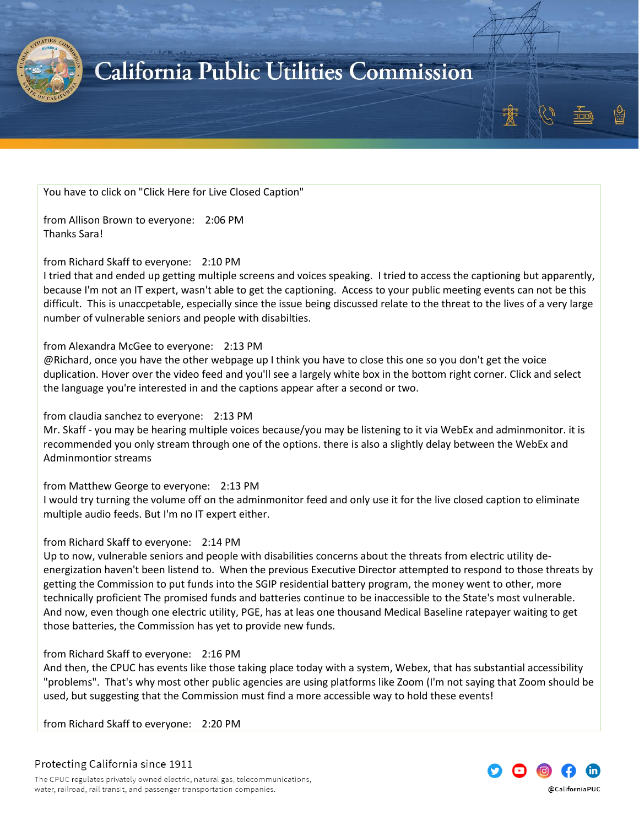

You have to click on "Click Here for Live Closed Caption"

from Allison Brown to everyone: 2:06 PM Thanks Sara!

#### from Richard Skaff to everyone: 2:10 PM

I tried that and ended up getting multiple screens and voices speaking. I tried to access the captioning but apparently, because I'm not an IT expert, wasn't able to get the captioning. Access to your public meeting events can not be this difficult. This is unaccpetable, especially since the issue being discussed relate to the threat to the lives of a very large number of vulnerable seniors and people with disabilties.

#### from Alexandra McGee to everyone: 2:13 PM

@Richard, once you have the other webpage up I think you have to close this one so you don't get the voice duplication. Hover over the video feed and you'll see a largely white box in the bottom right corner. Click and select the language you're interested in and the captions appear after a second or two.

#### from claudia sanchez to everyone: 2:13 PM

Mr. Skaff - you may be hearing multiple voices because/you may be listening to it via WebEx and adminmonitor. it is recommended you only stream through one of the options. there is also a slightly delay between the WebEx and Adminmontior streams

#### from Matthew George to everyone: 2:13 PM

I would try turning the volume off on the adminmonitor feed and only use it for the live closed caption to eliminate multiple audio feeds. But I'm no IT expert either.

#### from Richard Skaff to everyone: 2:14 PM

Up to now, vulnerable seniors and people with disabilities concerns about the threats from electric utility deenergization haven't been listend to. When the previous Executive Director attempted to respond to those threats by getting the Commission to put funds into the SGIP residential battery program, the money went to other, more technically proficient The promised funds and batteries continue to be inaccessible to the State's most vulnerable. And now, even though one electric utility, PGE, has at leas one thousand Medical Baseline ratepayer waiting to get those batteries, the Commission has yet to provide new funds.

#### from Richard Skaff to everyone: 2:16 PM

And then, the CPUC has events like those taking place today with a system, Webex, that has substantial accessibility "problems". That's why most other public agencies are using platforms like Zoom (I'm not saying that Zoom should be used, but suggesting that the Commission must find a more accessible way to hold these events!

from Richard Skaff to everyone: 2:20 PM



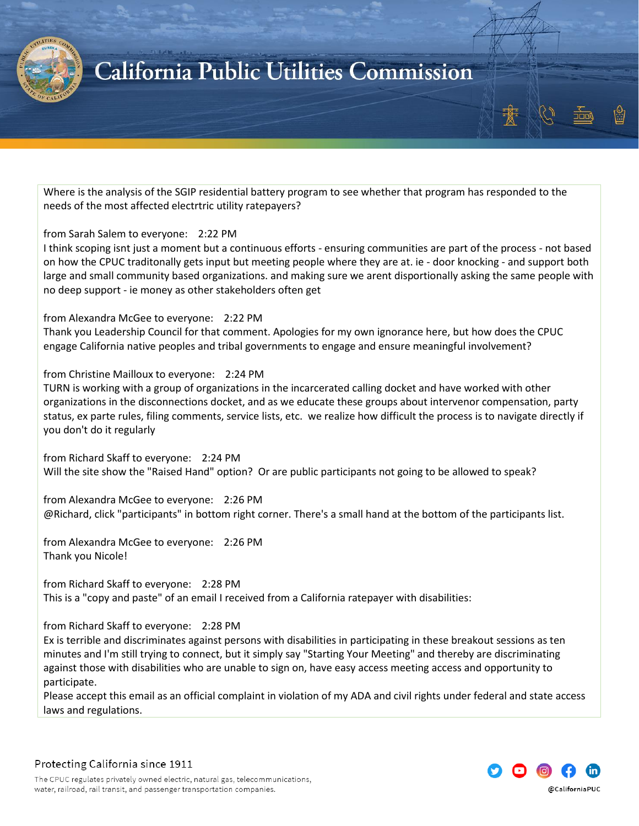

Where is the analysis of the SGIP residential battery program to see whether that program has responded to the needs of the most affected electrtric utility ratepayers?

#### from Sarah Salem to everyone: 2:22 PM

I think scoping isnt just a moment but a continuous efforts - ensuring communities are part of the process - not based on how the CPUC traditonally gets input but meeting people where they are at. ie - door knocking - and support both large and small community based organizations. and making sure we arent disportionally asking the same people with no deep support - ie money as other stakeholders often get

from Alexandra McGee to everyone: 2:22 PM

Thank you Leadership Council for that comment. Apologies for my own ignorance here, but how does the CPUC engage California native peoples and tribal governments to engage and ensure meaningful involvement?

#### from Christine Mailloux to everyone: 2:24 PM

TURN is working with a group of organizations in the incarcerated calling docket and have worked with other organizations in the disconnections docket, and as we educate these groups about intervenor compensation, party status, ex parte rules, filing comments, service lists, etc. we realize how difficult the process is to navigate directly if you don't do it regularly

from Richard Skaff to everyone: 2:24 PM Will the site show the "Raised Hand" option? Or are public participants not going to be allowed to speak?

from Alexandra McGee to everyone: 2:26 PM @Richard, click "participants" in bottom right corner. There's a small hand at the bottom of the participants list.

from Alexandra McGee to everyone: 2:26 PM Thank you Nicole!

from Richard Skaff to everyone: 2:28 PM This is a "copy and paste" of an email I received from a California ratepayer with disabilities:

#### from Richard Skaff to everyone: 2:28 PM

Ex is terrible and discriminates against persons with disabilities in participating in these breakout sessions as ten minutes and I'm still trying to connect, but it simply say "Starting Your Meeting" and thereby are discriminating against those with disabilities who are unable to sign on, have easy access meeting access and opportunity to participate.

Please accept this email as an official complaint in violation of my ADA and civil rights under federal and state access laws and regulations.

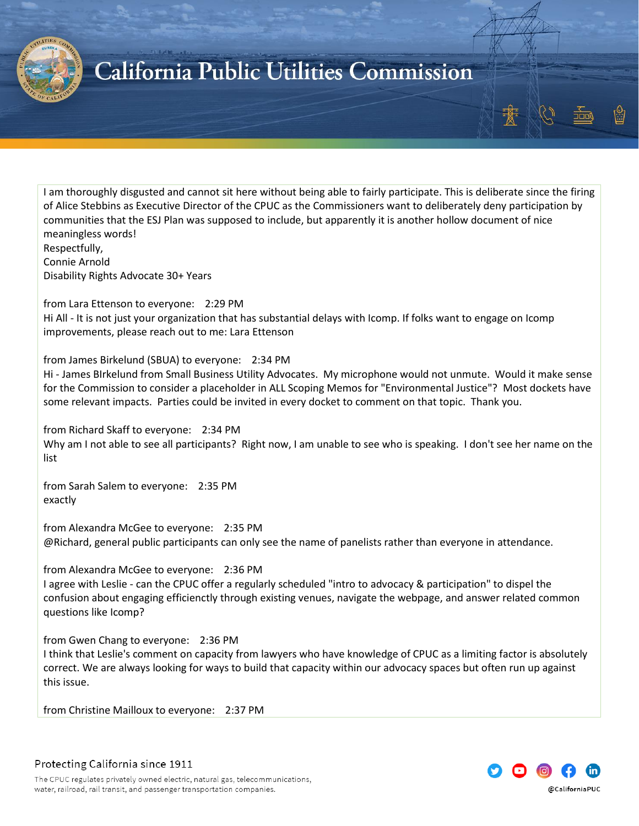

I am thoroughly disgusted and cannot sit here without being able to fairly participate. This is deliberate since the firing of Alice Stebbins as Executive Director of the CPUC as the Commissioners want to deliberately deny participation by communities that the ESJ Plan was supposed to include, but apparently it is another hollow document of nice meaningless words!

Respectfully,

Connie Arnold Disability Rights Advocate 30+ Years

from Lara Ettenson to everyone: 2:29 PM

Hi All - It is not just your organization that has substantial delays with Icomp. If folks want to engage on Icomp improvements, please reach out to me: Lara Ettenson

from James Birkelund (SBUA) to everyone: 2:34 PM

Hi - James BIrkelund from Small Business Utility Advocates. My microphone would not unmute. Would it make sense for the Commission to consider a placeholder in ALL Scoping Memos for "Environmental Justice"? Most dockets have some relevant impacts. Parties could be invited in every docket to comment on that topic. Thank you.

from Richard Skaff to everyone: 2:34 PM Why am I not able to see all participants? Right now, I am unable to see who is speaking. I don't see her name on the list

from Sarah Salem to everyone: 2:35 PM exactly

from Alexandra McGee to everyone: 2:35 PM @Richard, general public participants can only see the name of panelists rather than everyone in attendance.

from Alexandra McGee to everyone: 2:36 PM I agree with Leslie - can the CPUC offer a regularly scheduled "intro to advocacy & participation" to dispel the confusion about engaging efficienctly through existing venues, navigate the webpage, and answer related common questions like Icomp?

from Gwen Chang to everyone: 2:36 PM

I think that Leslie's comment on capacity from lawyers who have knowledge of CPUC as a limiting factor is absolutely correct. We are always looking for ways to build that capacity within our advocacy spaces but often run up against this issue.

from Christine Mailloux to everyone: 2:37 PM

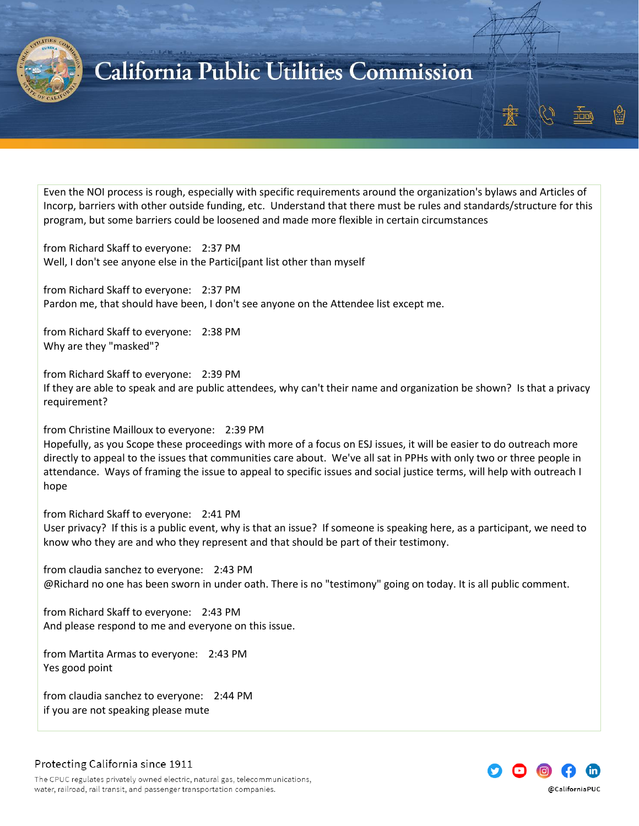

Even the NOI process is rough, especially with specific requirements around the organization's bylaws and Articles of Incorp, barriers with other outside funding, etc. Understand that there must be rules and standards/structure for this program, but some barriers could be loosened and made more flexible in certain circumstances

from Richard Skaff to everyone: 2:37 PM Well, I don't see anyone else in the Partici[pant list other than myself

from Richard Skaff to everyone: 2:37 PM Pardon me, that should have been, I don't see anyone on the Attendee list except me.

from Richard Skaff to everyone: 2:38 PM Why are they "masked"?

from Richard Skaff to everyone: 2:39 PM If they are able to speak and are public attendees, why can't their name and organization be shown? Is that a privacy requirement?

from Christine Mailloux to everyone: 2:39 PM

Hopefully, as you Scope these proceedings with more of a focus on ESJ issues, it will be easier to do outreach more directly to appeal to the issues that communities care about. We've all sat in PPHs with only two or three people in attendance. Ways of framing the issue to appeal to specific issues and social justice terms, will help with outreach I hope

from Richard Skaff to everyone: 2:41 PM User privacy? If this is a public event, why is that an issue? If someone is speaking here, as a participant, we need to know who they are and who they represent and that should be part of their testimony.

from claudia sanchez to everyone: 2:43 PM @Richard no one has been sworn in under oath. There is no "testimony" going on today. It is all public comment.

from Richard Skaff to everyone: 2:43 PM And please respond to me and everyone on this issue.

from Martita Armas to everyone: 2:43 PM Yes good point

from claudia sanchez to everyone: 2:44 PM if you are not speaking please mute

Protecting California since 1911

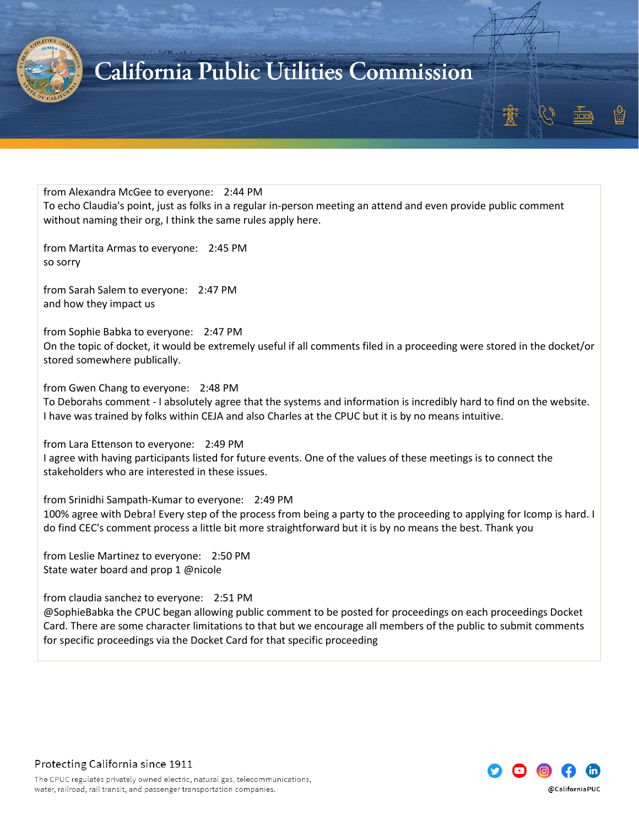

from Alexandra McGee to everyone: 2:44 PM To echo Claudia's point, just as folks in a regular in-person meeting an attend and even provide public comment without naming their org, I think the same rules apply here.

from Martita Armas to everyone: 2:45 PM so sorry

from Sarah Salem to everyone: 2:47 PM and how they impact us

from Sophie Babka to everyone: 2:47 PM On the topic of docket, it would be extremely useful if all comments filed in a proceeding were stored in the docket/or stored somewhere publically.

from Gwen Chang to everyone: 2:48 PM

To Deborahs comment - I absolutely agree that the systems and information is incredibly hard to find on the website. I have was trained by folks within CEJA and also Charles at the CPUC but it is by no means intuitive.

from Lara Ettenson to everyone: 2:49 PM I agree with having participants listed for future events. One of the values of these meetings is to connect the stakeholders who are interested in these issues.

from Srinidhi Sampath-Kumar to everyone: 2:49 PM 100% agree with Debra! Every step of the process from being a party to the proceeding to applying for Icomp is hard. I do find CEC's comment process a little bit more straightforward but it is by no means the best. Thank you

from Leslie Martinez to everyone: 2:50 PM State water board and prop 1 @nicole

from claudia sanchez to everyone: 2:51 PM

@SophieBabka the CPUC began allowing public comment to be posted for proceedings on each proceedings Docket Card. There are some character limitations to that but we encourage all members of the public to submit comments for specific proceedings via the Docket Card for that specific proceeding

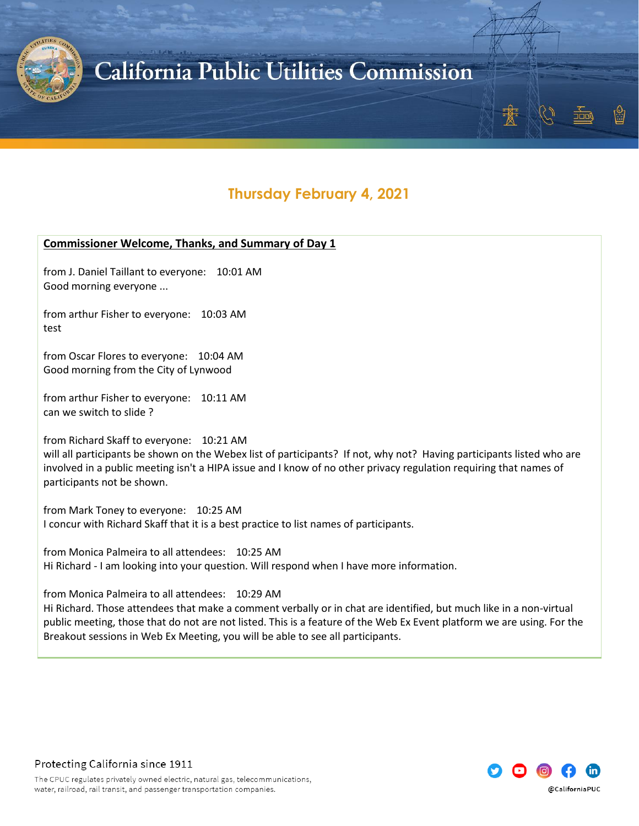

### **Thursday February 4, 2021**

#### <span id="page-23-0"></span>**Commissioner Welcome, Thanks, and Summary of Day 1**

from J. Daniel Taillant to everyone: 10:01 AM Good morning everyone ...

from arthur Fisher to everyone: 10:03 AM test

from Oscar Flores to everyone: 10:04 AM Good morning from the City of Lynwood

from arthur Fisher to everyone: 10:11 AM can we switch to slide ?

from Richard Skaff to everyone: 10:21 AM

will all participants be shown on the Webex list of participants? If not, why not? Having participants listed who are involved in a public meeting isn't a HIPA issue and I know of no other privacy regulation requiring that names of participants not be shown.

from Mark Toney to everyone: 10:25 AM I concur with Richard Skaff that it is a best practice to list names of participants.

from Monica Palmeira to all attendees: 10:25 AM Hi Richard - I am looking into your question. Will respond when I have more information.

from Monica Palmeira to all attendees: 10:29 AM

Hi Richard. Those attendees that make a comment verbally or in chat are identified, but much like in a non-virtual public meeting, those that do not are not listed. This is a feature of the Web Ex Event platform we are using. For the Breakout sessions in Web Ex Meeting, you will be able to see all participants.



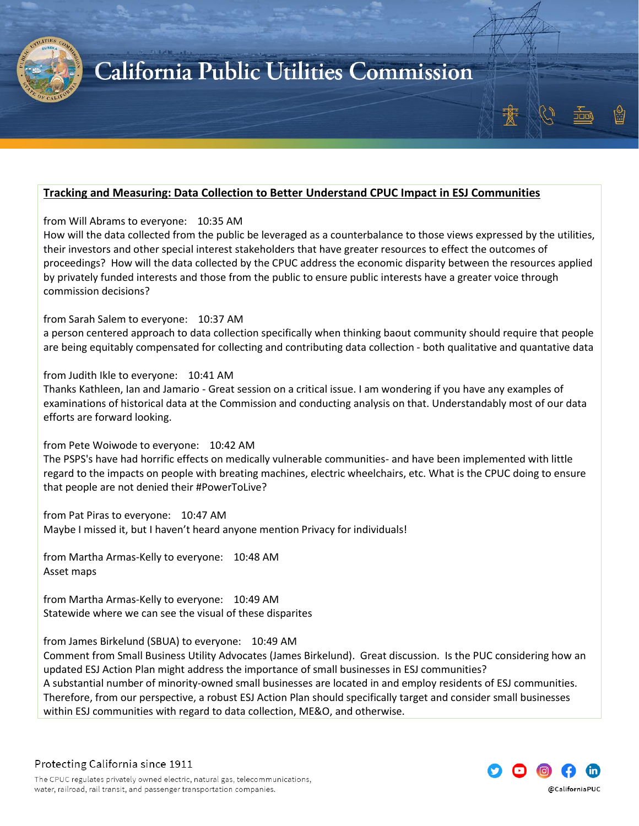

### <span id="page-24-0"></span>**Tracking and Measuring: Data Collection to Better Understand CPUC Impact in ESJ Communities**

from Will Abrams to everyone: 10:35 AM

How will the data collected from the public be leveraged as a counterbalance to those views expressed by the utilities, their investors and other special interest stakeholders that have greater resources to effect the outcomes of proceedings? How will the data collected by the CPUC address the economic disparity between the resources applied by privately funded interests and those from the public to ensure public interests have a greater voice through commission decisions?

from Sarah Salem to everyone: 10:37 AM

a person centered approach to data collection specifically when thinking baout community should require that people are being equitably compensated for collecting and contributing data collection - both qualitative and quantative data

from Judith Ikle to everyone: 10:41 AM

Thanks Kathleen, Ian and Jamario - Great session on a critical issue. I am wondering if you have any examples of examinations of historical data at the Commission and conducting analysis on that. Understandably most of our data efforts are forward looking.

from Pete Woiwode to everyone: 10:42 AM

The PSPS's have had horrific effects on medically vulnerable communities- and have been implemented with little regard to the impacts on people with breating machines, electric wheelchairs, etc. What is the CPUC doing to ensure that people are not denied their #PowerToLive?

from Pat Piras to everyone: 10:47 AM Maybe I missed it, but I haven't heard anyone mention Privacy for individuals!

from Martha Armas-Kelly to everyone: 10:48 AM Asset maps

from Martha Armas-Kelly to everyone: 10:49 AM Statewide where we can see the visual of these disparites

from James Birkelund (SBUA) to everyone: 10:49 AM

Comment from Small Business Utility Advocates (James Birkelund). Great discussion. Is the PUC considering how an updated ESJ Action Plan might address the importance of small businesses in ESJ communities? A substantial number of minority-owned small businesses are located in and employ residents of ESJ communities. Therefore, from our perspective, a robust ESJ Action Plan should specifically target and consider small businesses within ESJ communities with regard to data collection, ME&O, and otherwise.

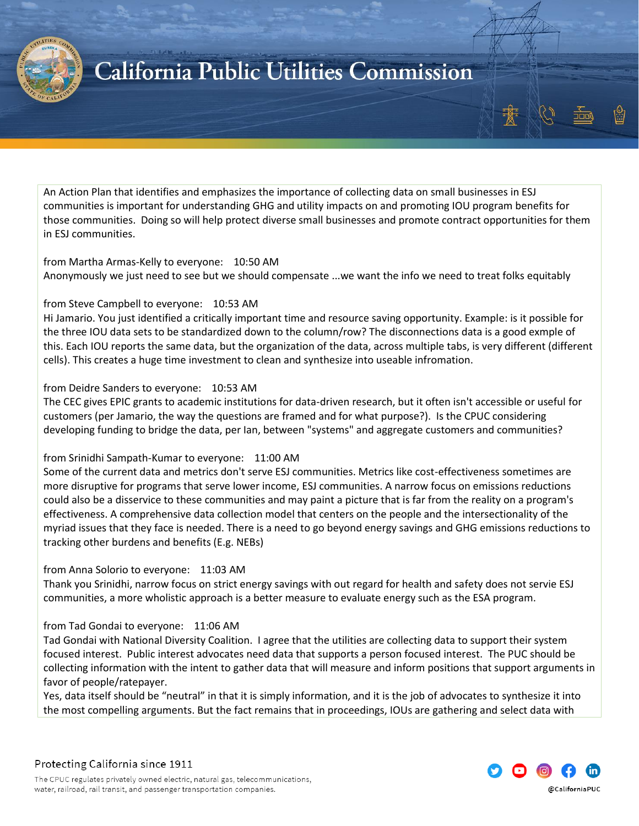

An Action Plan that identifies and emphasizes the importance of collecting data on small businesses in ESJ communities is important for understanding GHG and utility impacts on and promoting IOU program benefits for those communities. Doing so will help protect diverse small businesses and promote contract opportunities for them in ESJ communities.

#### from Martha Armas-Kelly to everyone: 10:50 AM Anonymously we just need to see but we should compensate ...we want the info we need to treat folks equitably

#### from Steve Campbell to everyone: 10:53 AM

Hi Jamario. You just identified a critically important time and resource saving opportunity. Example: is it possible for the three IOU data sets to be standardized down to the column/row? The disconnections data is a good exmple of this. Each IOU reports the same data, but the organization of the data, across multiple tabs, is very different (different cells). This creates a huge time investment to clean and synthesize into useable infromation.

#### from Deidre Sanders to everyone: 10:53 AM

The CEC gives EPIC grants to academic institutions for data-driven research, but it often isn't accessible or useful for customers (per Jamario, the way the questions are framed and for what purpose?). Is the CPUC considering developing funding to bridge the data, per Ian, between "systems" and aggregate customers and communities?

#### from Srinidhi Sampath-Kumar to everyone: 11:00 AM

Some of the current data and metrics don't serve ESJ communities. Metrics like cost-effectiveness sometimes are more disruptive for programs that serve lower income, ESJ communities. A narrow focus on emissions reductions could also be a disservice to these communities and may paint a picture that is far from the reality on a program's effectiveness. A comprehensive data collection model that centers on the people and the intersectionality of the myriad issues that they face is needed. There is a need to go beyond energy savings and GHG emissions reductions to tracking other burdens and benefits (E.g. NEBs)

#### from Anna Solorio to everyone: 11:03 AM

Thank you Srinidhi, narrow focus on strict energy savings with out regard for health and safety does not servie ESJ communities, a more wholistic approach is a better measure to evaluate energy such as the ESA program.

#### from Tad Gondai to everyone: 11:06 AM

Tad Gondai with National Diversity Coalition. I agree that the utilities are collecting data to support their system focused interest. Public interest advocates need data that supports a person focused interest. The PUC should be collecting information with the intent to gather data that will measure and inform positions that support arguments in favor of people/ratepayer.

Yes, data itself should be "neutral" in that it is simply information, and it is the job of advocates to synthesize it into the most compelling arguments. But the fact remains that in proceedings, IOUs are gathering and select data with

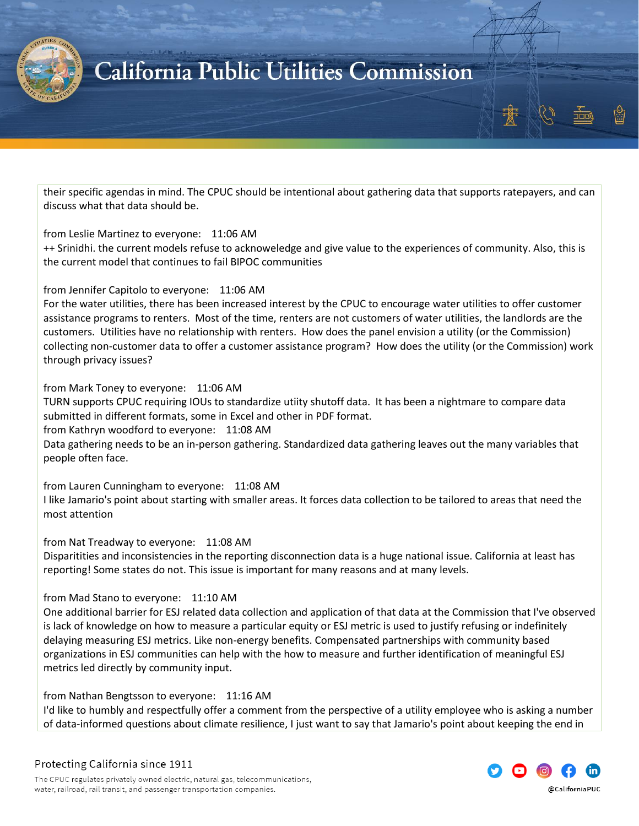

their specific agendas in mind. The CPUC should be intentional about gathering data that supports ratepayers, and can discuss what that data should be.

#### from Leslie Martinez to everyone: 11:06 AM

++ Srinidhi. the current models refuse to acknoweledge and give value to the experiences of community. Also, this is the current model that continues to fail BIPOC communities

#### from Jennifer Capitolo to everyone: 11:06 AM

For the water utilities, there has been increased interest by the CPUC to encourage water utilities to offer customer assistance programs to renters. Most of the time, renters are not customers of water utilities, the landlords are the customers. Utilities have no relationship with renters. How does the panel envision a utility (or the Commission) collecting non-customer data to offer a customer assistance program? How does the utility (or the Commission) work through privacy issues?

#### from Mark Toney to everyone: 11:06 AM

TURN supports CPUC requiring IOUs to standardize utiity shutoff data. It has been a nightmare to compare data submitted in different formats, some in Excel and other in PDF format.

from Kathryn woodford to everyone: 11:08 AM

Data gathering needs to be an in-person gathering. Standardized data gathering leaves out the many variables that people often face.

from Lauren Cunningham to everyone: 11:08 AM

I like Jamario's point about starting with smaller areas. It forces data collection to be tailored to areas that need the most attention

#### from Nat Treadway to everyone: 11:08 AM

Disparitities and inconsistencies in the reporting disconnection data is a huge national issue. California at least has reporting! Some states do not. This issue is important for many reasons and at many levels.

#### from Mad Stano to everyone: 11:10 AM

One additional barrier for ESJ related data collection and application of that data at the Commission that I've observed is lack of knowledge on how to measure a particular equity or ESJ metric is used to justify refusing or indefinitely delaying measuring ESJ metrics. Like non-energy benefits. Compensated partnerships with community based organizations in ESJ communities can help with the how to measure and further identification of meaningful ESJ metrics led directly by community input.

from Nathan Bengtsson to everyone: 11:16 AM

I'd like to humbly and respectfully offer a comment from the perspective of a utility employee who is asking a number of data-informed questions about climate resilience, I just want to say that Jamario's point about keeping the end in

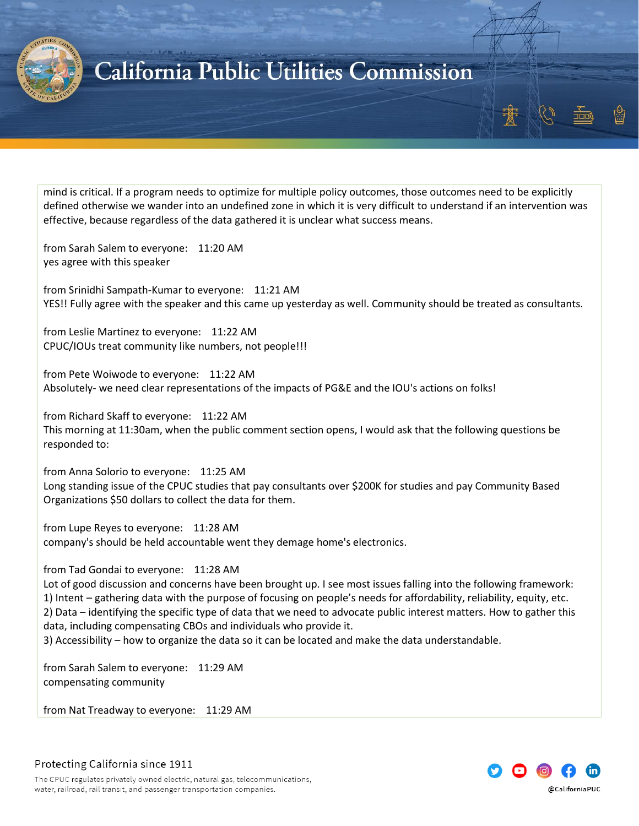

mind is critical. If a program needs to optimize for multiple policy outcomes, those outcomes need to be explicitly defined otherwise we wander into an undefined zone in which it is very difficult to understand if an intervention was effective, because regardless of the data gathered it is unclear what success means.

from Sarah Salem to everyone: 11:20 AM yes agree with this speaker

from Srinidhi Sampath-Kumar to everyone: 11:21 AM YES!! Fully agree with the speaker and this came up yesterday as well. Community should be treated as consultants.

from Leslie Martinez to everyone: 11:22 AM CPUC/IOUs treat community like numbers, not people!!!

from Pete Woiwode to everyone: 11:22 AM Absolutely- we need clear representations of the impacts of PG&E and the IOU's actions on folks!

from Richard Skaff to everyone: 11:22 AM This morning at 11:30am, when the public comment section opens, I would ask that the following questions be responded to:

from Anna Solorio to everyone: 11:25 AM Long standing issue of the CPUC studies that pay consultants over \$200K for studies and pay Community Based Organizations \$50 dollars to collect the data for them.

from Lupe Reyes to everyone: 11:28 AM company's should be held accountable went they demage home's electronics.

from Tad Gondai to everyone: 11:28 AM

Lot of good discussion and concerns have been brought up. I see most issues falling into the following framework: 1) Intent – gathering data with the purpose of focusing on people's needs for affordability, reliability, equity, etc. 2) Data – identifying the specific type of data that we need to advocate public interest matters. How to gather this data, including compensating CBOs and individuals who provide it.

3) Accessibility – how to organize the data so it can be located and make the data understandable.

from Sarah Salem to everyone: 11:29 AM compensating community

from Nat Treadway to everyone: 11:29 AM



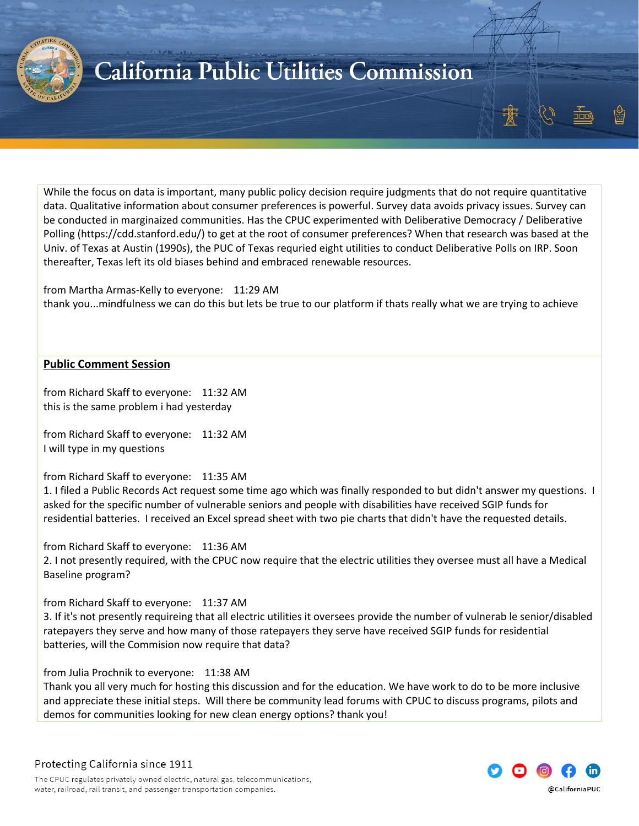

While the focus on data is important, many public policy decision require judgments that do not require quantitative data. Qualitative information about consumer preferences is powerful. Survey data avoids privacy issues. Survey can be conducted in marginaized communities. Has the CPUC experimented with Deliberative Democracy / Deliberative Polling (https://cdd.stanford.edu/) to get at the root of consumer preferences? When that research was based at the Univ. of Texas at Austin (1990s), the PUC of Texas requried eight utilities to conduct Deliberative Polls on IRP. Soon thereafter, Texas left its old biases behind and embraced renewable resources.

from Martha Armas-Kelly to everyone: 11:29 AM thank you...mindfulness we can do this but lets be true to our platform if thats really what we are trying to achieve

#### <span id="page-28-0"></span>**Public Comment Session**

from Richard Skaff to everyone: 11:32 AM this is the same problem i had yesterday

from Richard Skaff to everyone: 11:32 AM I will type in my questions

#### from Richard Skaff to everyone: 11:35 AM

1. I filed a Public Records Act request some time ago which was finally responded to but didn't answer my questions. I asked for the specific number of vulnerable seniors and people with disabilities have received SGIP funds for residential batteries. I received an Excel spread sheet with two pie charts that didn't have the requested details.

from Richard Skaff to everyone: 11:36 AM

2. I not presently required, with the CPUC now require that the electric utilities they oversee must all have a Medical Baseline program?

from Richard Skaff to everyone: 11:37 AM

3. If it's not presently requireing that all electric utilities it oversees provide the number of vulnerab le senior/disabled ratepayers they serve and how many of those ratepayers they serve have received SGIP funds for residential batteries, will the Commision now require that data?

from Julia Prochnik to everyone: 11:38 AM

Thank you all very much for hosting this discussion and for the education. We have work to do to be more inclusive and appreciate these initial steps. Will there be community lead forums with CPUC to discuss programs, pilots and demos for communities looking for new clean energy options? thank you!

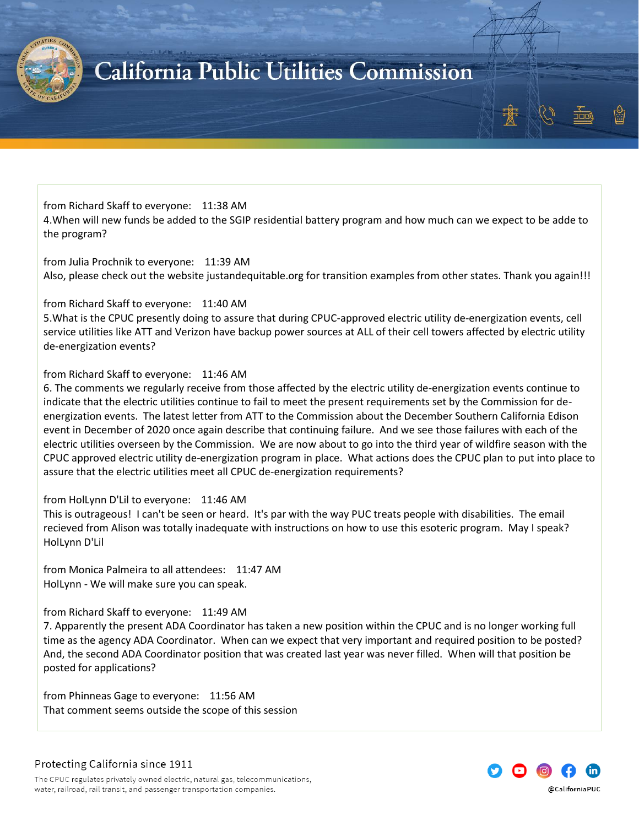

from Richard Skaff to everyone: 11:38 AM 4.When will new funds be added to the SGIP residential battery program and how much can we expect to be adde to the program?

from Julia Prochnik to everyone: 11:39 AM Also, please check out the website justandequitable.org for transition examples from other states. Thank you again!!!

#### from Richard Skaff to everyone: 11:40 AM

5.What is the CPUC presently doing to assure that during CPUC-approved electric utility de-energization events, cell service utilities like ATT and Verizon have backup power sources at ALL of their cell towers affected by electric utility de-energization events?

#### from Richard Skaff to everyone: 11:46 AM

6. The comments we regularly receive from those affected by the electric utility de-energization events continue to indicate that the electric utilities continue to fail to meet the present requirements set by the Commission for deenergization events. The latest letter from ATT to the Commission about the December Southern California Edison event in December of 2020 once again describe that continuing failure. And we see those failures with each of the electric utilities overseen by the Commission. We are now about to go into the third year of wildfire season with the CPUC approved electric utility de-energization program in place. What actions does the CPUC plan to put into place to assure that the electric utilities meet all CPUC de-energization requirements?

#### from HolLynn D'Lil to everyone: 11:46 AM

This is outrageous! I can't be seen or heard. It's par with the way PUC treats people with disabilities. The email recieved from Alison was totally inadequate with instructions on how to use this esoteric program. May I speak? HolLynn D'Lil

from Monica Palmeira to all attendees: 11:47 AM HolLynn - We will make sure you can speak.

#### from Richard Skaff to everyone: 11:49 AM

7. Apparently the present ADA Coordinator has taken a new position within the CPUC and is no longer working full time as the agency ADA Coordinator. When can we expect that very important and required position to be posted? And, the second ADA Coordinator position that was created last year was never filled. When will that position be posted for applications?

from Phinneas Gage to everyone: 11:56 AM That comment seems outside the scope of this session

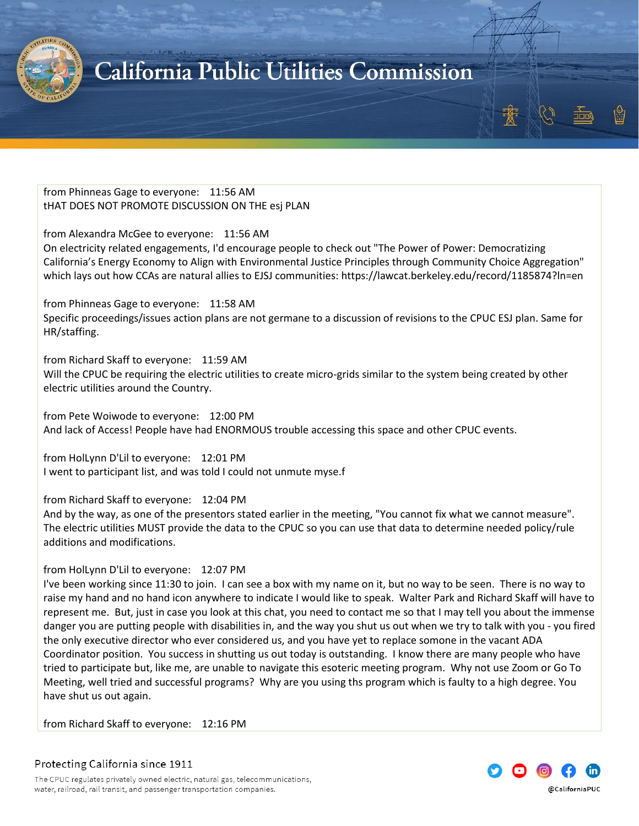

from Phinneas Gage to everyone: 11:56 AM tHAT DOES NOT PROMOTE DISCUSSION ON THE esj PLAN

from Alexandra McGee to everyone: 11:56 AM On electricity related engagements, I'd encourage people to check out "The Power of Power: Democratizing California's Energy Economy to Align with Environmental Justice Principles through Community Choice Aggregation" which lays out how CCAs are natural allies to EJSJ communities: https://lawcat.berkeley.edu/record/1185874?ln=en

from Phinneas Gage to everyone: 11:58 AM Specific proceedings/issues action plans are not germane to a discussion of revisions to the CPUC ESJ plan. Same for HR/staffing.

from Richard Skaff to everyone: 11:59 AM Will the CPUC be requiring the electric utilities to create micro-grids similar to the system being created by other electric utilities around the Country.

from Pete Woiwode to everyone: 12:00 PM And lack of Access! People have had ENORMOUS trouble accessing this space and other CPUC events.

from HolLynn D'Lil to everyone: 12:01 PM I went to participant list, and was told I could not unmute myse.f

from Richard Skaff to everyone: 12:04 PM

And by the way, as one of the presentors stated earlier in the meeting, "You cannot fix what we cannot measure". The electric utilities MUST provide the data to the CPUC so you can use that data to determine needed policy/rule additions and modifications.

#### from HolLynn D'Lil to everyone: 12:07 PM

I've been working since 11:30 to join. I can see a box with my name on it, but no way to be seen. There is no way to raise my hand and no hand icon anywhere to indicate I would like to speak. Walter Park and Richard Skaff will have to represent me. But, just in case you look at this chat, you need to contact me so that I may tell you about the immense danger you are putting people with disabilities in, and the way you shut us out when we try to talk with you - you fired the only executive director who ever considered us, and you have yet to replace somone in the vacant ADA Coordinator position. You success in shutting us out today is outstanding. I know there are many people who have tried to participate but, like me, are unable to navigate this esoteric meeting program. Why not use Zoom or Go To Meeting, well tried and successful programs? Why are you using ths program which is faulty to a high degree. You have shut us out again.

from Richard Skaff to everyone: 12:16 PM

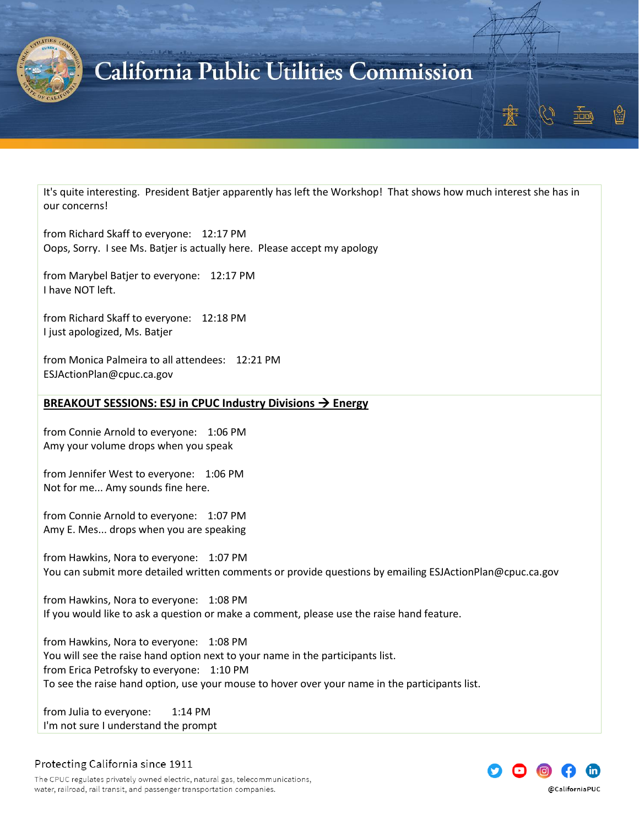

It's quite interesting. President Batjer apparently has left the Workshop! That shows how much interest she has in our concerns!

from Richard Skaff to everyone: 12:17 PM Oops, Sorry. I see Ms. Batjer is actually here. Please accept my apology

from Marybel Batjer to everyone: 12:17 PM I have NOT left.

from Richard Skaff to everyone: 12:18 PM I just apologized, Ms. Batjer

from Monica Palmeira to all attendees: 12:21 PM ESJActionPlan@cpuc.ca.gov

#### <span id="page-31-0"></span>**BREAKOUT SESSIONS: ESJ in CPUC Industry Divisions** → **Energy**

from Connie Arnold to everyone: 1:06 PM Amy your volume drops when you speak

from Jennifer West to everyone: 1:06 PM Not for me... Amy sounds fine here.

from Connie Arnold to everyone: 1:07 PM Amy E. Mes... drops when you are speaking

from Hawkins, Nora to everyone: 1:07 PM You can submit more detailed written comments or provide questions by emailing ESJActionPlan@cpuc.ca.gov

from Hawkins, Nora to everyone: 1:08 PM If you would like to ask a question or make a comment, please use the raise hand feature.

from Hawkins, Nora to everyone: 1:08 PM You will see the raise hand option next to your name in the participants list. from Erica Petrofsky to everyone: 1:10 PM To see the raise hand option, use your mouse to hover over your name in the participants list.

from Julia to everyone: 1:14 PM I'm not sure I understand the prompt



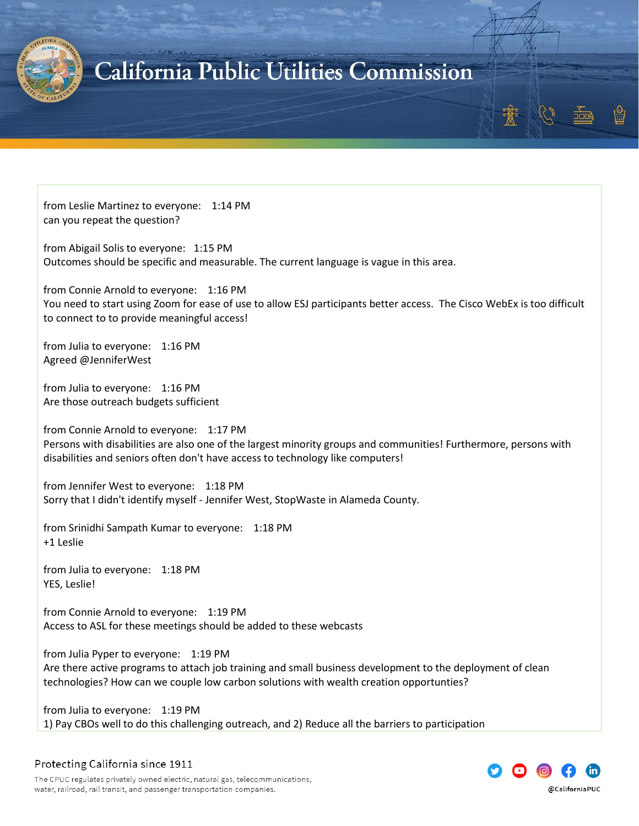

from Leslie Martinez to everyone: 1:14 PM can you repeat the question?

from Abigail Solis to everyone: 1:15 PM Outcomes should be specific and measurable. The current language is vague in this area.

from Connie Arnold to everyone: 1:16 PM You need to start using Zoom for ease of use to allow ESJ participants better access. The Cisco WebEx is too difficult to connect to to provide meaningful access!

from Julia to everyone: 1:16 PM Agreed @JenniferWest

from Julia to everyone: 1:16 PM Are those outreach budgets sufficient

from Connie Arnold to everyone: 1:17 PM Persons with disabilities are also one of the largest minority groups and communities! Furthermore, persons with disabilities and seniors often don't have access to technology like computers!

from Jennifer West to everyone: 1:18 PM Sorry that I didn't identify myself - Jennifer West, StopWaste in Alameda County.

from Srinidhi Sampath Kumar to everyone: 1:18 PM +1 Leslie

from Julia to everyone: 1:18 PM YES, Leslie!

from Connie Arnold to everyone: 1:19 PM Access to ASL for these meetings should be added to these webcasts

from Julia Pyper to everyone: 1:19 PM Are there active programs to attach job training and small business development to the deployment of clean technologies? How can we couple low carbon solutions with wealth creation opportunties?

from Julia to everyone: 1:19 PM 1) Pay CBOs well to do this challenging outreach, and 2) Reduce all the barriers to participation

Protecting California since 1911

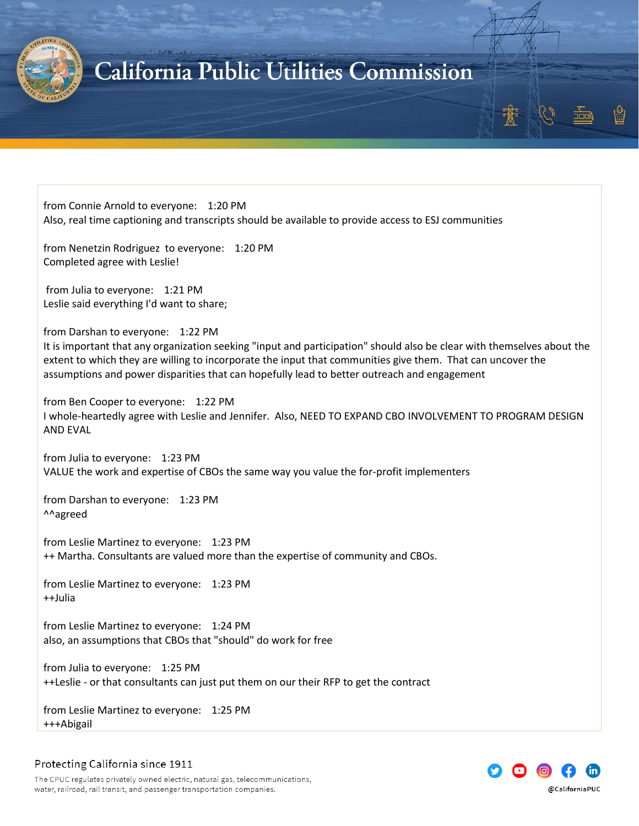

from Connie Arnold to everyone: 1:20 PM Also, real time captioning and transcripts should be available to provide access to ESJ communities

from Nenetzin Rodriguez to everyone: 1:20 PM Completed agree with Leslie!

from Julia to everyone: 1:21 PM Leslie said everything I'd want to share;

from Darshan to everyone: 1:22 PM It is important that any organization seeking "input and participation" should also be clear with themselves about the extent to which they are willing to incorporate the input that communities give them. That can uncover the assumptions and power disparities that can hopefully lead to better outreach and engagement

from Ben Cooper to everyone: 1:22 PM I whole-heartedly agree with Leslie and Jennifer. Also, NEED TO EXPAND CBO INVOLVEMENT TO PROGRAM DESIGN AND EVAL

from Julia to everyone: 1:23 PM VALUE the work and expertise of CBOs the same way you value the for-profit implementers

from Darshan to everyone: 1:23 PM ^^agreed

from Leslie Martinez to everyone: 1:23 PM ++ Martha. Consultants are valued more than the expertise of community and CBOs.

from Leslie Martinez to everyone: 1:23 PM ++Julia

from Leslie Martinez to everyone: 1:24 PM also, an assumptions that CBOs that "should" do work for free

from Julia to everyone: 1:25 PM ++Leslie - or that consultants can just put them on our their RFP to get the contract

from Leslie Martinez to everyone: 1:25 PM +++Abigail

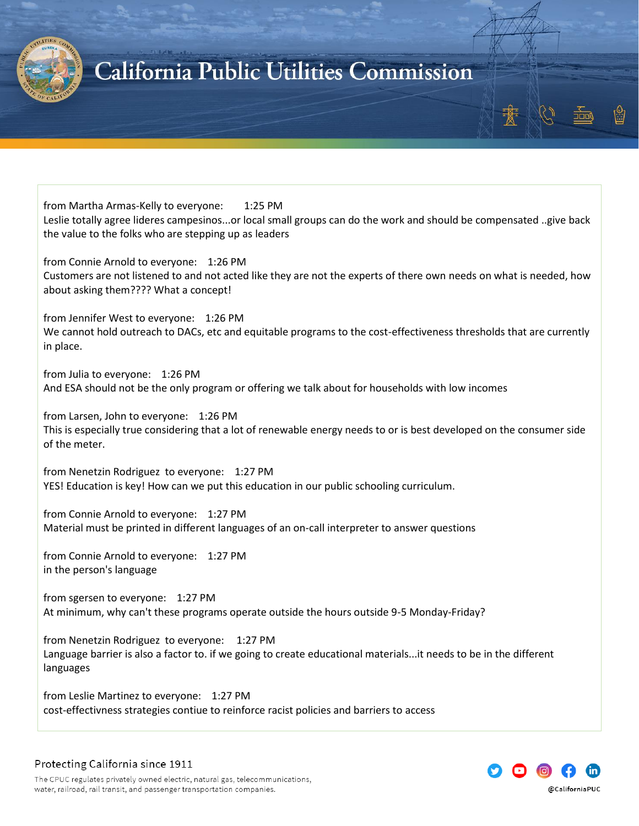

from Martha Armas-Kelly to everyone: 1:25 PM Leslie totally agree lideres campesinos...or local small groups can do the work and should be compensated ..give back the value to the folks who are stepping up as leaders

from Connie Arnold to everyone: 1:26 PM Customers are not listened to and not acted like they are not the experts of there own needs on what is needed, how about asking them???? What a concept!

from Jennifer West to everyone: 1:26 PM We cannot hold outreach to DACs, etc and equitable programs to the cost-effectiveness thresholds that are currently in place.

from Julia to everyone: 1:26 PM And ESA should not be the only program or offering we talk about for households with low incomes

from Larsen, John to everyone: 1:26 PM This is especially true considering that a lot of renewable energy needs to or is best developed on the consumer side of the meter.

from Nenetzin Rodriguez to everyone: 1:27 PM YES! Education is key! How can we put this education in our public schooling curriculum.

from Connie Arnold to everyone: 1:27 PM Material must be printed in different languages of an on-call interpreter to answer questions

from Connie Arnold to everyone: 1:27 PM in the person's language

from sgersen to everyone: 1:27 PM At minimum, why can't these programs operate outside the hours outside 9-5 Monday-Friday?

from Nenetzin Rodriguez to everyone: 1:27 PM Language barrier is also a factor to. if we going to create educational materials...it needs to be in the different languages

from Leslie Martinez to everyone: 1:27 PM cost-effectivness strategies contiue to reinforce racist policies and barriers to access

### Protecting California since 1911

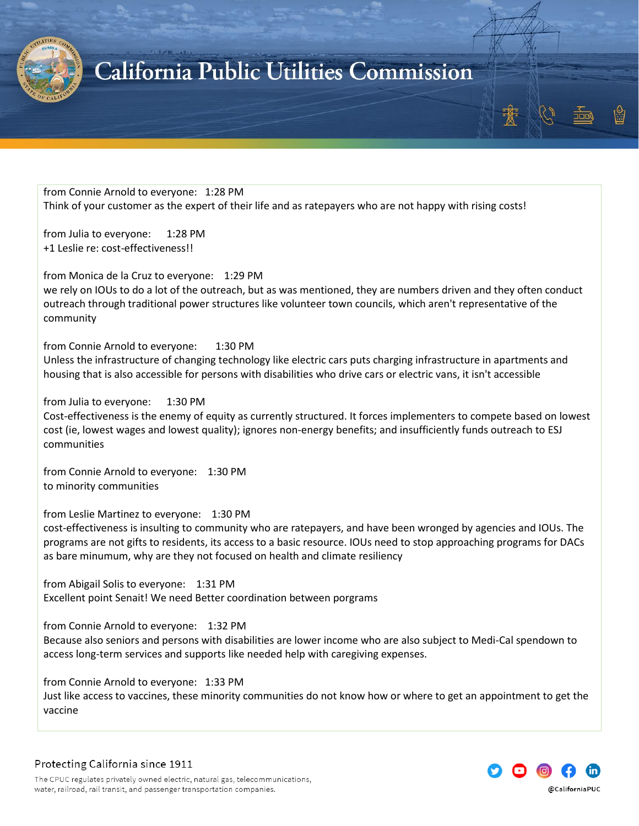

from Connie Arnold to everyone: 1:28 PM Think of your customer as the expert of their life and as ratepayers who are not happy with rising costs!

from Julia to everyone: 1:28 PM +1 Leslie re: cost-effectiveness!!

from Monica de la Cruz to everyone: 1:29 PM we rely on IOUs to do a lot of the outreach, but as was mentioned, they are numbers driven and they often conduct outreach through traditional power structures like volunteer town councils, which aren't representative of the community

from Connie Arnold to everyone: 1:30 PM

Unless the infrastructure of changing technology like electric cars puts charging infrastructure in apartments and housing that is also accessible for persons with disabilities who drive cars or electric vans, it isn't accessible

from Julia to everyone: 1:30 PM

Cost-effectiveness is the enemy of equity as currently structured. It forces implementers to compete based on lowest cost (ie, lowest wages and lowest quality); ignores non-energy benefits; and insufficiently funds outreach to ESJ communities

from Connie Arnold to everyone: 1:30 PM to minority communities

from Leslie Martinez to everyone: 1:30 PM

cost-effectiveness is insulting to community who are ratepayers, and have been wronged by agencies and IOUs. The programs are not gifts to residents, its access to a basic resource. IOUs need to stop approaching programs for DACs as bare minumum, why are they not focused on health and climate resiliency

from Abigail Solis to everyone: 1:31 PM Excellent point Senait! We need Better coordination between porgrams

from Connie Arnold to everyone: 1:32 PM

Because also seniors and persons with disabilities are lower income who are also subject to Medi-Cal spendown to access long-term services and supports like needed help with caregiving expenses.

from Connie Arnold to everyone: 1:33 PM

Just like access to vaccines, these minority communities do not know how or where to get an appointment to get the vaccine



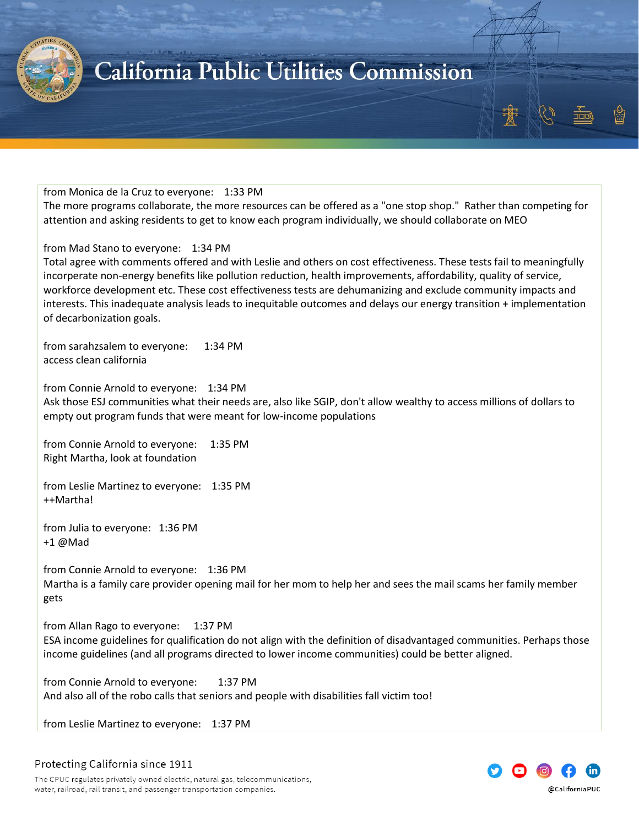

#### from Monica de la Cruz to everyone: 1:33 PM

The more programs collaborate, the more resources can be offered as a "one stop shop." Rather than competing for attention and asking residents to get to know each program individually, we should collaborate on MEO

#### from Mad Stano to everyone: 1:34 PM

Total agree with comments offered and with Leslie and others on cost effectiveness. These tests fail to meaningfully incorperate non-energy benefits like pollution reduction, health improvements, affordability, quality of service, workforce development etc. These cost effectiveness tests are dehumanizing and exclude community impacts and interests. This inadequate analysis leads to inequitable outcomes and delays our energy transition + implementation of decarbonization goals.

from sarahzsalem to everyone: 1:34 PM access clean california

from Connie Arnold to everyone: 1:34 PM Ask those ESJ communities what their needs are, also like SGIP, don't allow wealthy to access millions of dollars to empty out program funds that were meant for low-income populations

from Connie Arnold to everyone: 1:35 PM Right Martha, look at foundation

from Leslie Martinez to everyone: 1:35 PM ++Martha!

from Julia to everyone: 1:36 PM +1 @Mad

from Connie Arnold to everyone: 1:36 PM Martha is a family care provider opening mail for her mom to help her and sees the mail scams her family member gets

from Allan Rago to everyone: 1:37 PM ESA income guidelines for qualification do not align with the definition of disadvantaged communities. Perhaps those income guidelines (and all programs directed to lower income communities) could be better aligned.

from Connie Arnold to everyone: 1:37 PM And also all of the robo calls that seniors and people with disabilities fall victim too!

from Leslie Martinez to everyone: 1:37 PM

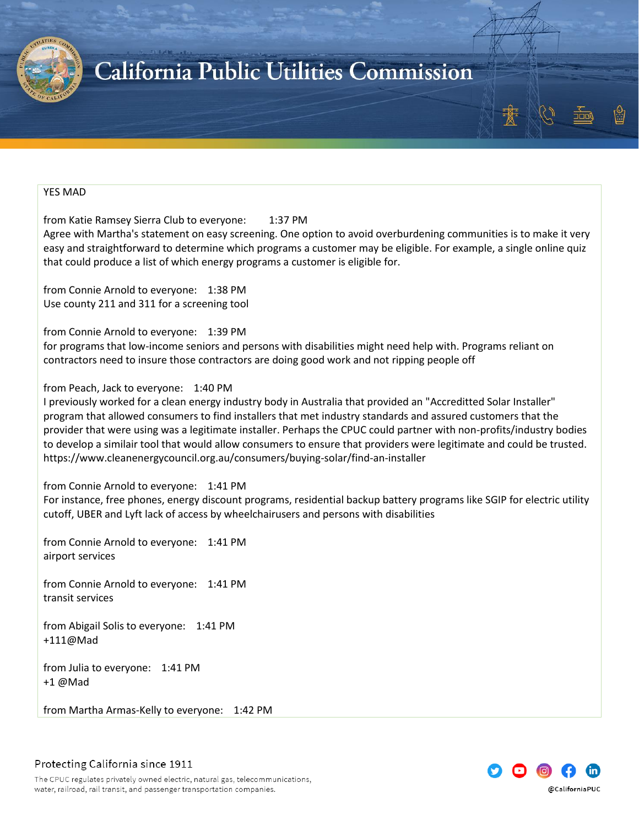

#### YES MAD

from Katie Ramsey Sierra Club to everyone: 1:37 PM

Agree with Martha's statement on easy screening. One option to avoid overburdening communities is to make it very easy and straightforward to determine which programs a customer may be eligible. For example, a single online quiz that could produce a list of which energy programs a customer is eligible for.

from Connie Arnold to everyone: 1:38 PM Use county 211 and 311 for a screening tool

from Connie Arnold to everyone: 1:39 PM

for programs that low-income seniors and persons with disabilities might need help with. Programs reliant on contractors need to insure those contractors are doing good work and not ripping people off

#### from Peach, Jack to everyone: 1:40 PM

I previously worked for a clean energy industry body in Australia that provided an "Accreditted Solar Installer" program that allowed consumers to find installers that met industry standards and assured customers that the provider that were using was a legitimate installer. Perhaps the CPUC could partner with non-profits/industry bodies to develop a similair tool that would allow consumers to ensure that providers were legitimate and could be trusted. https://www.cleanenergycouncil.org.au/consumers/buying-solar/find-an-installer

from Connie Arnold to everyone: 1:41 PM

For instance, free phones, energy discount programs, residential backup battery programs like SGIP for electric utility cutoff, UBER and Lyft lack of access by wheelchairusers and persons with disabilities

from Connie Arnold to everyone: 1:41 PM airport services

from Connie Arnold to everyone: 1:41 PM transit services

from Abigail Solis to everyone: 1:41 PM +111@Mad

from Julia to everyone: 1:41 PM +1 @Mad

from Martha Armas-Kelly to everyone: 1:42 PM

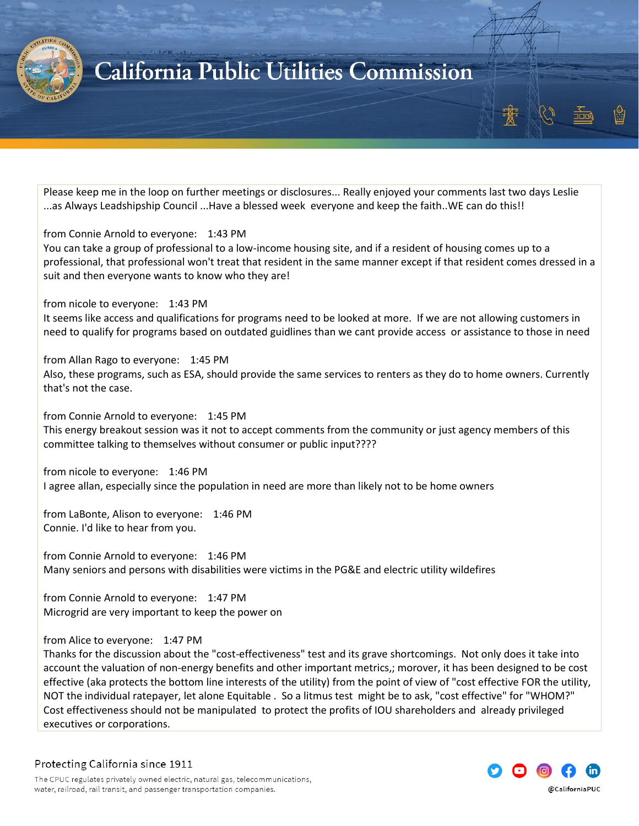

Please keep me in the loop on further meetings or disclosures... Really enjoyed your comments last two days Leslie ...as Always Leadshipship Council ...Have a blessed week everyone and keep the faith..WE can do this!!

from Connie Arnold to everyone: 1:43 PM

You can take a group of professional to a low-income housing site, and if a resident of housing comes up to a professional, that professional won't treat that resident in the same manner except if that resident comes dressed in a suit and then everyone wants to know who they are!

from nicole to everyone: 1:43 PM

It seems like access and qualifications for programs need to be looked at more. If we are not allowing customers in need to qualify for programs based on outdated guidlines than we cant provide access or assistance to those in need

from Allan Rago to everyone: 1:45 PM Also, these programs, such as ESA, should provide the same services to renters as they do to home owners. Currently that's not the case.

from Connie Arnold to everyone: 1:45 PM This energy breakout session was it not to accept comments from the community or just agency members of this committee talking to themselves without consumer or public input????

from nicole to everyone: 1:46 PM I agree allan, especially since the population in need are more than likely not to be home owners

from LaBonte, Alison to everyone: 1:46 PM Connie. I'd like to hear from you.

from Connie Arnold to everyone: 1:46 PM Many seniors and persons with disabilities were victims in the PG&E and electric utility wildefires

from Connie Arnold to everyone: 1:47 PM Microgrid are very important to keep the power on

from Alice to everyone: 1:47 PM

Thanks for the discussion about the "cost-effectiveness" test and its grave shortcomings. Not only does it take into account the valuation of non-energy benefits and other important metrics,; morover, it has been designed to be cost effective (aka protects the bottom line interests of the utility) from the point of view of "cost effective FOR the utility, NOT the individual ratepayer, let alone Equitable . So a litmus test might be to ask, "cost effective" for "WHOM?" Cost effectiveness should not be manipulated to protect the profits of IOU shareholders and already privileged executives or corporations.

Protecting California since 1911

@CaliforniaPUC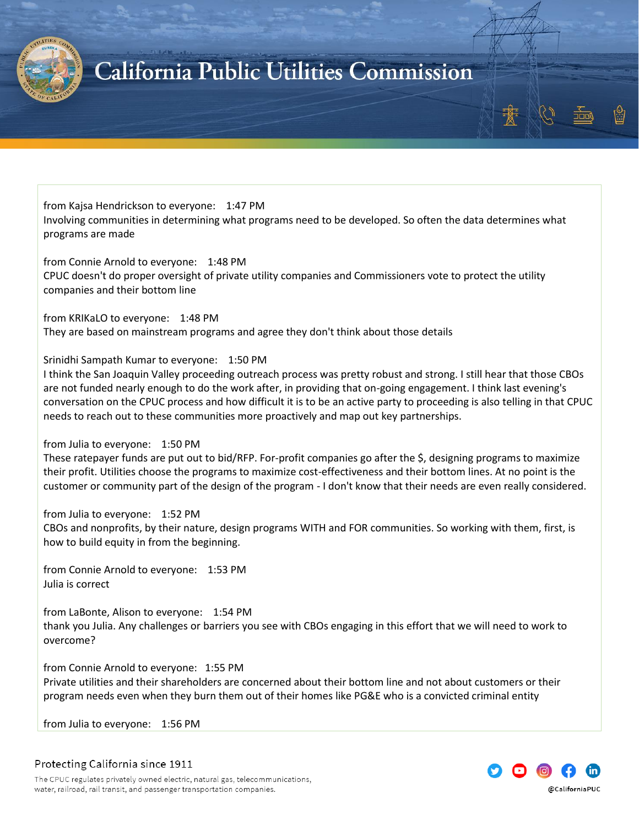

from Kajsa Hendrickson to everyone: 1:47 PM Involving communities in determining what programs need to be developed. So often the data determines what programs are made

from Connie Arnold to everyone: 1:48 PM CPUC doesn't do proper oversight of private utility companies and Commissioners vote to protect the utility companies and their bottom line

from KRIKaLO to everyone: 1:48 PM They are based on mainstream programs and agree they don't think about those details

Srinidhi Sampath Kumar to everyone: 1:50 PM

I think the San Joaquin Valley proceeding outreach process was pretty robust and strong. I still hear that those CBOs are not funded nearly enough to do the work after, in providing that on-going engagement. I think last evening's conversation on the CPUC process and how difficult it is to be an active party to proceeding is also telling in that CPUC needs to reach out to these communities more proactively and map out key partnerships.

#### from Julia to everyone: 1:50 PM

These ratepayer funds are put out to bid/RFP. For-profit companies go after the \$, designing programs to maximize their profit. Utilities choose the programs to maximize cost-effectiveness and their bottom lines. At no point is the customer or community part of the design of the program - I don't know that their needs are even really considered.

#### from Julia to everyone: 1:52 PM

CBOs and nonprofits, by their nature, design programs WITH and FOR communities. So working with them, first, is how to build equity in from the beginning.

from Connie Arnold to everyone: 1:53 PM Julia is correct

from LaBonte, Alison to everyone: 1:54 PM thank you Julia. Any challenges or barriers you see with CBOs engaging in this effort that we will need to work to overcome?

from Connie Arnold to everyone: 1:55 PM Private utilities and their shareholders are concerned about their bottom line and not about customers or their program needs even when they burn them out of their homes like PG&E who is a convicted criminal entity

from Julia to everyone: 1:56 PM

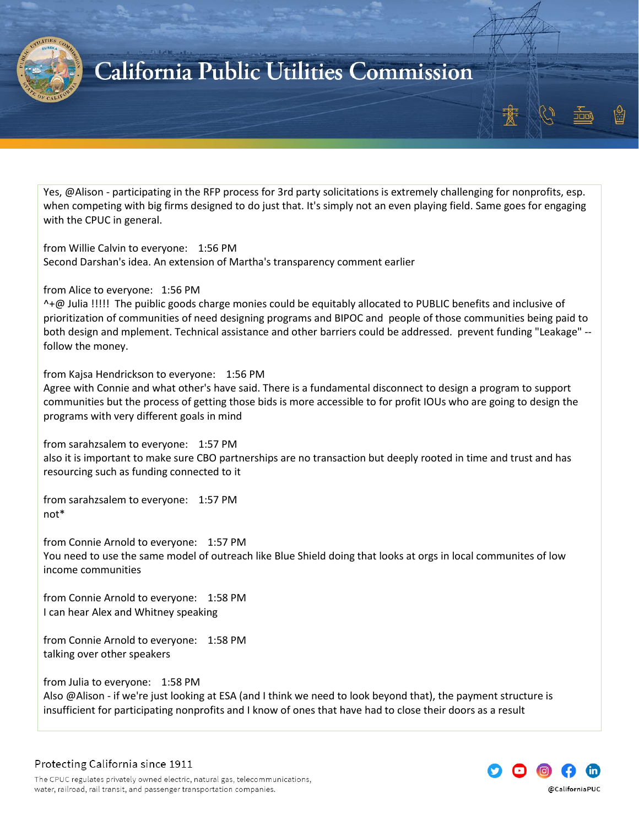

Yes, @Alison - participating in the RFP process for 3rd party solicitations is extremely challenging for nonprofits, esp. when competing with big firms designed to do just that. It's simply not an even playing field. Same goes for engaging with the CPUC in general.

from Willie Calvin to everyone: 1:56 PM Second Darshan's idea. An extension of Martha's transparency comment earlier

from Alice to everyone: 1:56 PM

^+@ Julia !!!!! The puiblic goods charge monies could be equitably allocated to PUBLIC benefits and inclusive of prioritization of communities of need designing programs and BIPOC and people of those communities being paid to both design and mplement. Technical assistance and other barriers could be addressed. prevent funding "Leakage" - follow the money.

from Kajsa Hendrickson to everyone: 1:56 PM

Agree with Connie and what other's have said. There is a fundamental disconnect to design a program to support communities but the process of getting those bids is more accessible to for profit IOUs who are going to design the programs with very different goals in mind

from sarahzsalem to everyone: 1:57 PM also it is important to make sure CBO partnerships are no transaction but deeply rooted in time and trust and has resourcing such as funding connected to it

from sarahzsalem to everyone: 1:57 PM not\*

from Connie Arnold to everyone: 1:57 PM You need to use the same model of outreach like Blue Shield doing that looks at orgs in local communites of low income communities

from Connie Arnold to everyone: 1:58 PM I can hear Alex and Whitney speaking

from Connie Arnold to everyone: 1:58 PM talking over other speakers

from Julia to everyone: 1:58 PM

Also @Alison - if we're just looking at ESA (and I think we need to look beyond that), the payment structure is insufficient for participating nonprofits and I know of ones that have had to close their doors as a result

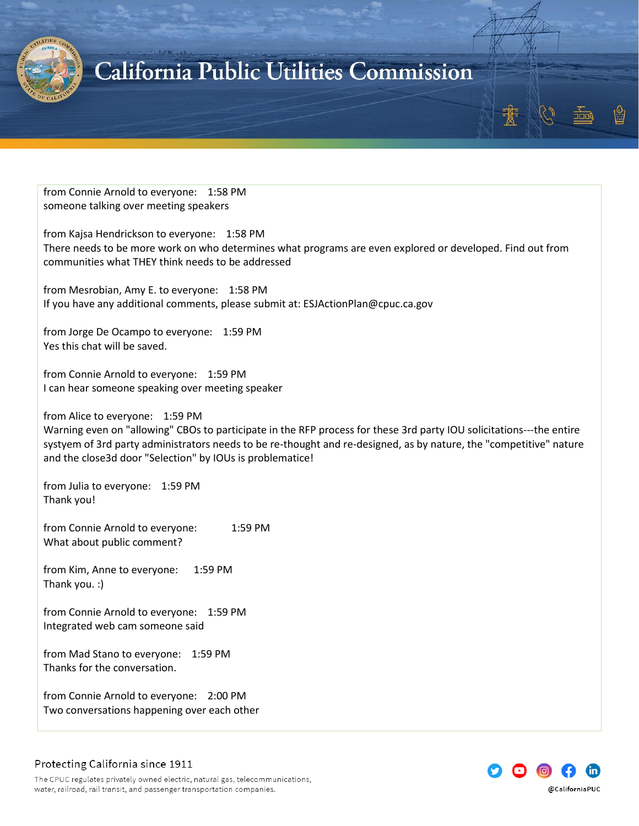

from Connie Arnold to everyone: 1:58 PM someone talking over meeting speakers

from Kajsa Hendrickson to everyone: 1:58 PM There needs to be more work on who determines what programs are even explored or developed. Find out from communities what THEY think needs to be addressed

from Mesrobian, Amy E. to everyone: 1:58 PM If you have any additional comments, please submit at: ESJActionPlan@cpuc.ca.gov

from Jorge De Ocampo to everyone: 1:59 PM Yes this chat will be saved.

from Connie Arnold to everyone: 1:59 PM I can hear someone speaking over meeting speaker

from Alice to everyone: 1:59 PM

Warning even on "allowing" CBOs to participate in the RFP process for these 3rd party IOU solicitations---the entire systyem of 3rd party administrators needs to be re-thought and re-designed, as by nature, the "competitive" nature and the close3d door "Selection" by IOUs is problematice!

from Julia to everyone: 1:59 PM Thank you!

from Connie Arnold to everyone: 1:59 PM What about public comment?

from Kim, Anne to everyone: 1:59 PM Thank you. :)

from Connie Arnold to everyone: 1:59 PM Integrated web cam someone said

from Mad Stano to everyone: 1:59 PM Thanks for the conversation.

from Connie Arnold to everyone: 2:00 PM Two conversations happening over each other

### Protecting California since 1911

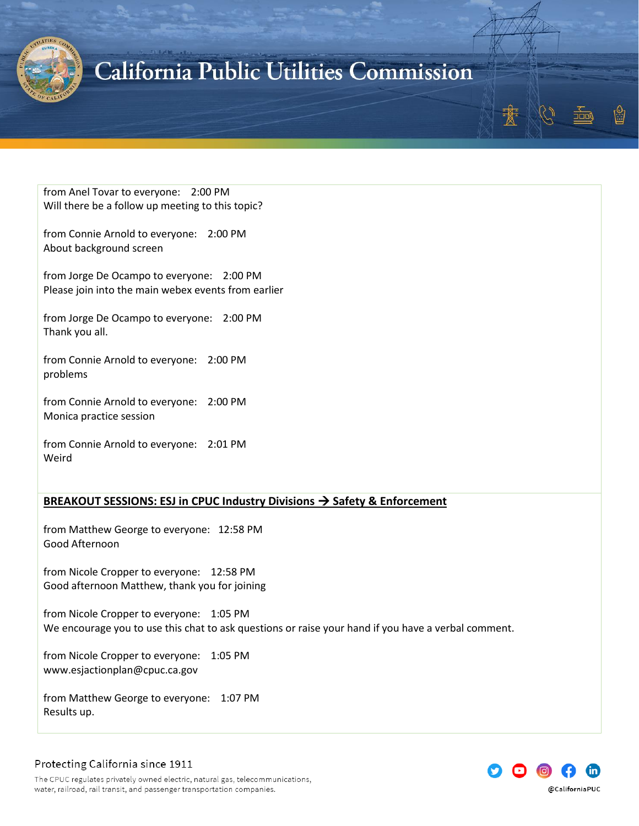

from Anel Tovar to everyone: 2:00 PM Will there be a follow up meeting to this topic?

from Connie Arnold to everyone: 2:00 PM About background screen

from Jorge De Ocampo to everyone: 2:00 PM Please join into the main webex events from earlier

from Jorge De Ocampo to everyone: 2:00 PM Thank you all.

from Connie Arnold to everyone: 2:00 PM problems

from Connie Arnold to everyone: 2:00 PM Monica practice session

from Connie Arnold to everyone: 2:01 PM Weird

#### <span id="page-42-0"></span>**BREAKOUT SESSIONS: ESJ in CPUC Industry Divisions** → **Safety & Enforcement**

from Matthew George to everyone: 12:58 PM Good Afternoon

from Nicole Cropper to everyone: 12:58 PM Good afternoon Matthew, thank you for joining

from Nicole Cropper to everyone: 1:05 PM We encourage you to use this chat to ask questions or raise your hand if you have a verbal comment.

from Nicole Cropper to everyone: 1:05 PM www.esjactionplan@cpuc.ca.gov

from Matthew George to everyone: 1:07 PM Results up.

### Protecting California since 1911

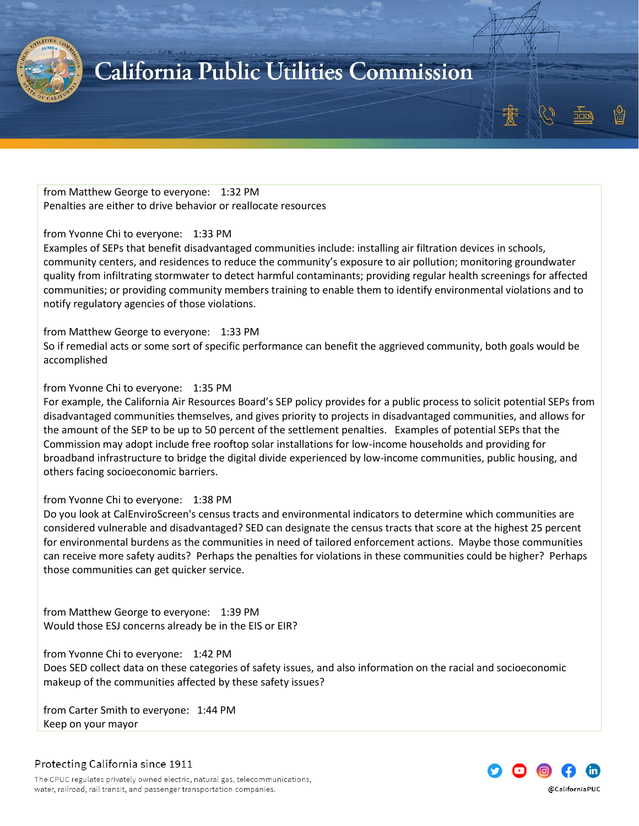

from Matthew George to everyone: 1:32 PM Penalties are either to drive behavior or reallocate resources

#### from Yvonne Chi to everyone: 1:33 PM

Examples of SEPs that benefit disadvantaged communities include: installing air filtration devices in schools, community centers, and residences to reduce the community's exposure to air pollution; monitoring groundwater quality from infiltrating stormwater to detect harmful contaminants; providing regular health screenings for affected communities; or providing community members training to enable them to identify environmental violations and to notify regulatory agencies of those violations.

from Matthew George to everyone: 1:33 PM

So if remedial acts or some sort of specific performance can benefit the aggrieved community, both goals would be accomplished

#### from Yvonne Chi to everyone: 1:35 PM

For example, the California Air Resources Board's SEP policy provides for a public process to solicit potential SEPs from disadvantaged communities themselves, and gives priority to projects in disadvantaged communities, and allows for the amount of the SEP to be up to 50 percent of the settlement penalties. Examples of potential SEPs that the Commission may adopt include free rooftop solar installations for low-income households and providing for broadband infrastructure to bridge the digital divide experienced by low-income communities, public housing, and others facing socioeconomic barriers.

#### from Yvonne Chi to everyone: 1:38 PM

Do you look at CalEnviroScreen's census tracts and environmental indicators to determine which communities are considered vulnerable and disadvantaged? SED can designate the census tracts that score at the highest 25 percent for environmental burdens as the communities in need of tailored enforcement actions. Maybe those communities can receive more safety audits? Perhaps the penalties for violations in these communities could be higher? Perhaps those communities can get quicker service.

from Matthew George to everyone: 1:39 PM Would those ESJ concerns already be in the EIS or EIR?

from Yvonne Chi to everyone: 1:42 PM Does SED collect data on these categories of safety issues, and also information on the racial and socioeconomic makeup of the communities affected by these safety issues?

from Carter Smith to everyone: 1:44 PM Keep on your mayor



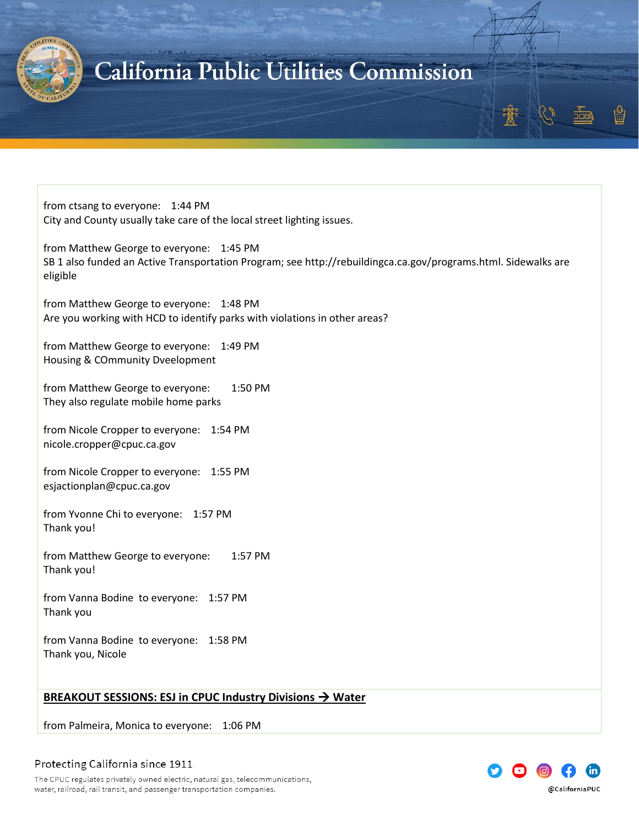

from ctsang to everyone: 1:44 PM City and County usually take care of the local street lighting issues.

from Matthew George to everyone: 1:45 PM SB 1 also funded an Active Transportation Program; see http://rebuildingca.ca.gov/programs.html. Sidewalks are eligible

from Matthew George to everyone: 1:48 PM Are you working with HCD to identify parks with violations in other areas?

from Matthew George to everyone: 1:49 PM Housing & COmmunity Dveelopment

from Matthew George to everyone: 1:50 PM They also regulate mobile home parks

from Nicole Cropper to everyone: 1:54 PM nicole.cropper@cpuc.ca.gov

from Nicole Cropper to everyone: 1:55 PM esjactionplan@cpuc.ca.gov

from Yvonne Chi to everyone: 1:57 PM Thank you!

from Matthew George to everyone: 1:57 PM Thank you!

from Vanna Bodine to everyone: 1:57 PM Thank you

from Vanna Bodine to everyone: 1:58 PM Thank you, Nicole

#### <span id="page-44-0"></span>**BREAKOUT SESSIONS: ESJ in CPUC Industry Divisions → Water**

from Palmeira, Monica to everyone: 1:06 PM



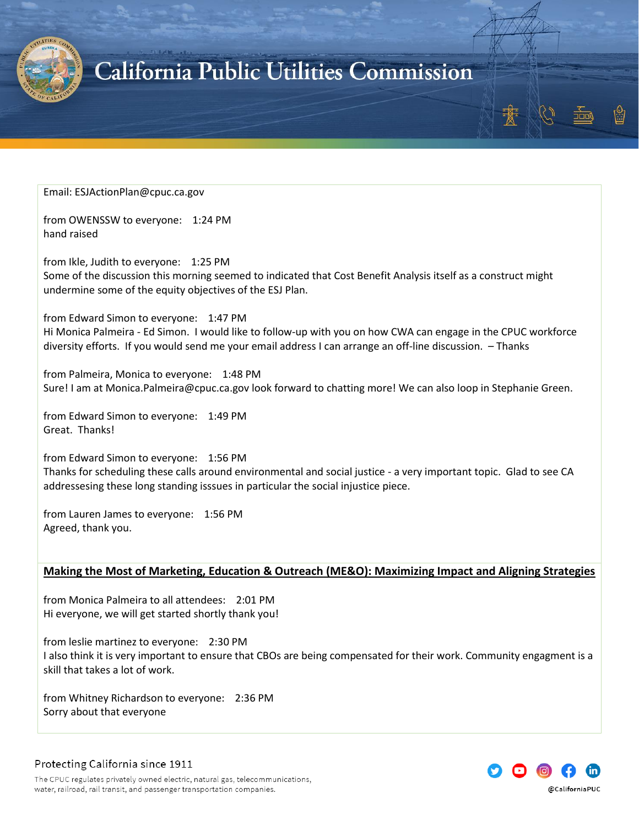

#### Email: ESJActionPlan@cpuc.ca.gov

from OWENSSW to everyone: 1:24 PM hand raised

from Ikle, Judith to everyone: 1:25 PM Some of the discussion this morning seemed to indicated that Cost Benefit Analysis itself as a construct might undermine some of the equity objectives of the ESJ Plan.

from Edward Simon to everyone: 1:47 PM

Hi Monica Palmeira - Ed Simon. I would like to follow-up with you on how CWA can engage in the CPUC workforce diversity efforts. If you would send me your email address I can arrange an off-line discussion. – Thanks

from Palmeira, Monica to everyone: 1:48 PM Sure! I am at Monica.Palmeira@cpuc.ca.gov look forward to chatting more! We can also loop in Stephanie Green.

from Edward Simon to everyone: 1:49 PM Great. Thanks!

from Edward Simon to everyone: 1:56 PM Thanks for scheduling these calls around environmental and social justice - a very important topic. Glad to see CA addressesing these long standing isssues in particular the social injustice piece.

from Lauren James to everyone: 1:56 PM Agreed, thank you.

#### <span id="page-45-0"></span>**Making the Most of Marketing, Education & Outreach (ME&O): Maximizing Impact and Aligning Strategies**

from Monica Palmeira to all attendees: 2:01 PM Hi everyone, we will get started shortly thank you!

from leslie martinez to everyone: 2:30 PM I also think it is very important to ensure that CBOs are being compensated for their work. Community engagment is a skill that takes a lot of work.

from Whitney Richardson to everyone: 2:36 PM Sorry about that everyone

Protecting California since 1911

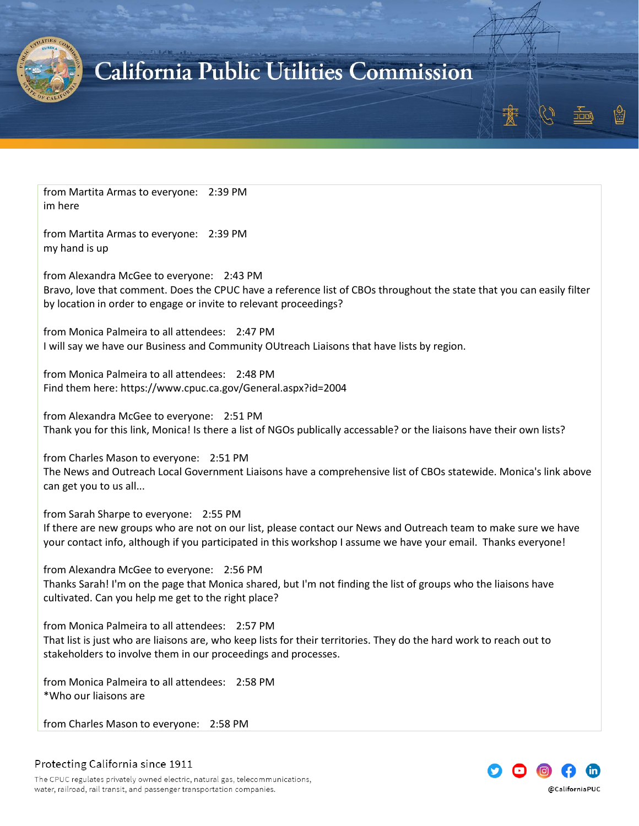

from Martita Armas to everyone: 2:39 PM im here

from Martita Armas to everyone: 2:39 PM my hand is up

from Alexandra McGee to everyone: 2:43 PM Bravo, love that comment. Does the CPUC have a reference list of CBOs throughout the state that you can easily filter by location in order to engage or invite to relevant proceedings?

from Monica Palmeira to all attendees: 2:47 PM I will say we have our Business and Community OUtreach Liaisons that have lists by region.

from Monica Palmeira to all attendees: 2:48 PM Find them here: https://www.cpuc.ca.gov/General.aspx?id=2004

from Alexandra McGee to everyone: 2:51 PM Thank you for this link, Monica! Is there a list of NGOs publically accessable? or the liaisons have their own lists?

from Charles Mason to everyone: 2:51 PM The News and Outreach Local Government Liaisons have a comprehensive list of CBOs statewide. Monica's link above can get you to us all...

from Sarah Sharpe to everyone: 2:55 PM

If there are new groups who are not on our list, please contact our News and Outreach team to make sure we have your contact info, although if you participated in this workshop I assume we have your email. Thanks everyone!

from Alexandra McGee to everyone: 2:56 PM Thanks Sarah! I'm on the page that Monica shared, but I'm not finding the list of groups who the liaisons have cultivated. Can you help me get to the right place?

from Monica Palmeira to all attendees: 2:57 PM That list is just who are liaisons are, who keep lists for their territories. They do the hard work to reach out to stakeholders to involve them in our proceedings and processes.

from Monica Palmeira to all attendees: 2:58 PM \*Who our liaisons are

from Charles Mason to everyone: 2:58 PM

Protecting California since 1911